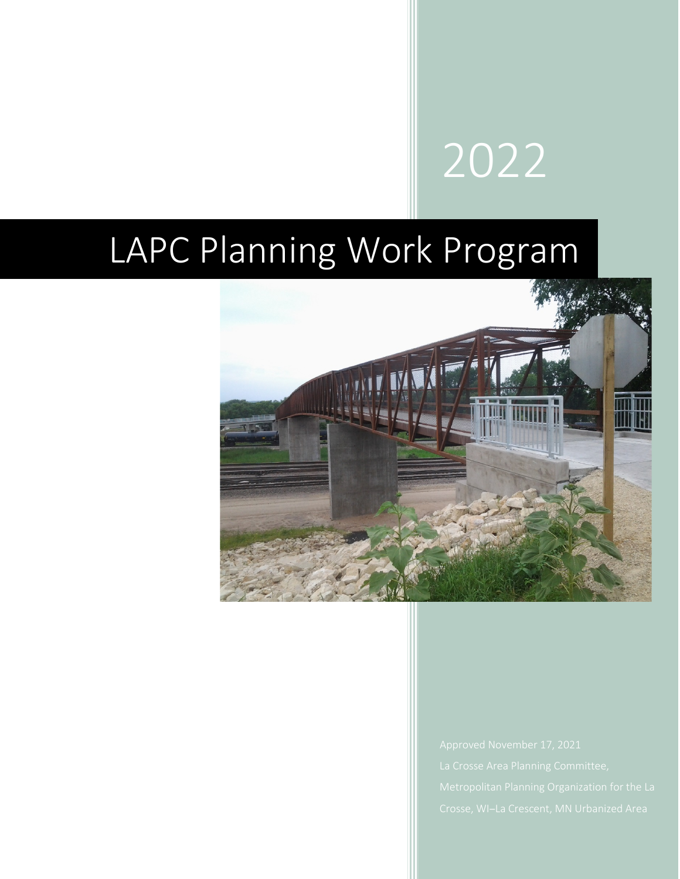# 2022

## LAPC Planning Work Program

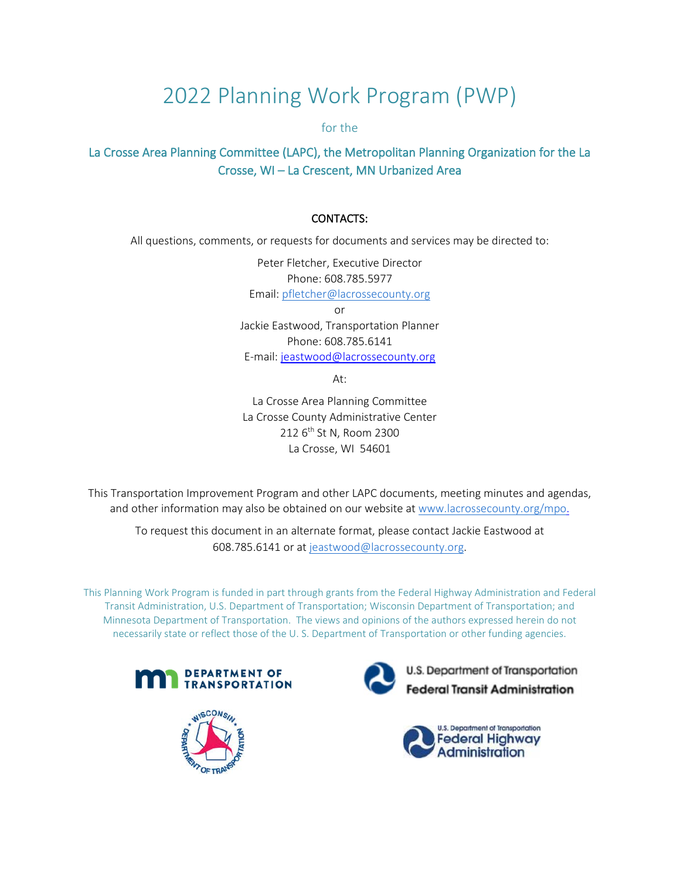## 2022 Planning Work Program (PWP)

for the

#### La Crosse Area Planning Committee (LAPC), the Metropolitan Planning Organization for the La Crosse, WI – La Crescent, MN Urbanized Area

#### CONTACTS:

All questions, comments, or requests for documents and services may be directed to:

Peter Fletcher, Executive Director Phone: 608.785.5977 Email: [pfletcher@lacrossecounty.org](mailto:pfletcher@lacrossecounty.org)  or Jackie Eastwood, Transportation Planner Phone: 608.785.6141 E-mail: [jeastwood@lacrossecounty.org](mailto:jeastwood@lacrossecounty.org)

At:

La Crosse Area Planning Committee La Crosse County Administrative Center 212 6<sup>th</sup> St N, Room 2300 La Crosse, WI 54601

This Transportation Improvement Program and other LAPC documents, meeting minutes and agendas, and other information may also be obtained on our website at [www.lacrossecounty.org/mpo.](http://www.lacrossecounty.org/mpo)

To request this document in an alternate format, please contact Jackie Eastwood at 608.785.6141 or a[t jeastwood@lacrossecounty.org.](mailto:jeastwood@lacrossecounty.org)

This Planning Work Program is funded in part through grants from the Federal Highway Administration and Federal Transit Administration, U.S. Department of Transportation; Wisconsin Department of Transportation; and Minnesota Department of Transportation. The views and opinions of the authors expressed herein do not necessarily state or reflect those of the U. S. Department of Transportation or other funding agencies.







U.S. Department of Transportation **Federal Transit Administration** 

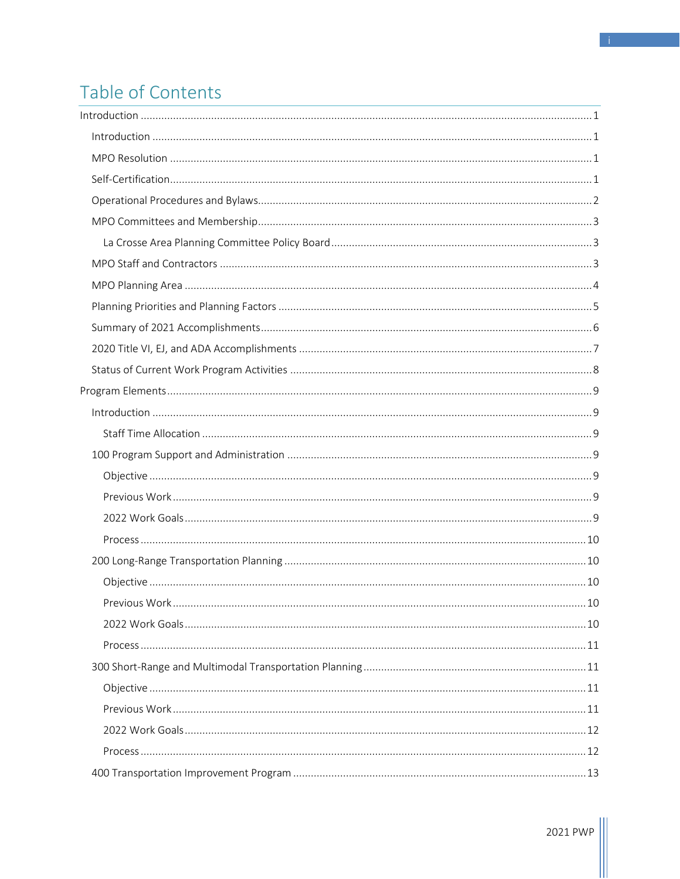## Table of Contents

| ${\sf Introduction}\,\,\,\,\,\,$ |             |
|----------------------------------|-------------|
|                                  |             |
|                                  |             |
|                                  |             |
|                                  |             |
|                                  |             |
|                                  |             |
|                                  |             |
|                                  |             |
|                                  |             |
|                                  |             |
|                                  |             |
|                                  |             |
|                                  |             |
|                                  |             |
|                                  |             |
|                                  |             |
|                                  |             |
|                                  |             |
|                                  |             |
|                                  |             |
|                                  |             |
| Previous Work                    | $\ldots$ 10 |
|                                  |             |
|                                  |             |
|                                  |             |
|                                  |             |
|                                  |             |
|                                  |             |
|                                  |             |
|                                  |             |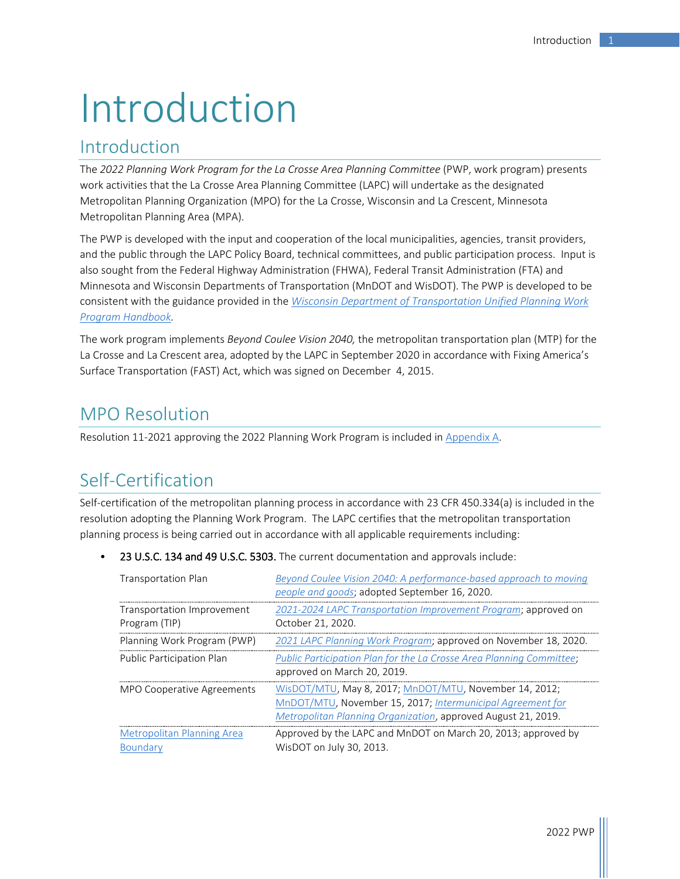## <span id="page-6-0"></span>Introduction

### <span id="page-6-1"></span>Introduction

The *2022 Planning Work Program for the La Crosse Area Planning Committee* (PWP, work program) presents work activities that the La Crosse Area Planning Committee (LAPC) will undertake as the designated Metropolitan Planning Organization (MPO) for the La Crosse, Wisconsin and La Crescent, Minnesota Metropolitan Planning Area (MPA).

The PWP is developed with the input and cooperation of the local municipalities, agencies, transit providers, and the public through the LAPC Policy Board, technical committees, and public participation process. Input is also sought from the Federal Highway Administration (FHWA), Federal Transit Administration (FTA) and Minnesota and Wisconsin Departments of Transportation (MnDOT and WisDOT). The PWP is developed to be consistent with the guidance provided in the *[Wisconsin Department of Transportation Unified Planning Work](https://wisconsindot.gov/Documents/doing-bus/local-gov/plning-orgs/unified-plan.pdf)  [Program Handbook.](https://wisconsindot.gov/Documents/doing-bus/local-gov/plning-orgs/unified-plan.pdf)*

The work program implements *Beyond Coulee Vision 2040,* the metropolitan transportation plan (MTP) for the La Crosse and La Crescent area, adopted by the LAPC in September 2020 in accordance with Fixing America's Surface Transportation (FAST) Act, which was signed on December 4, 2015.

## <span id="page-6-2"></span>MPO Resolution

Resolution 11-2021 approving the 2022 Planning Work Program is included i[n Appendix A.](#page-19-3)

## <span id="page-6-3"></span>Self-Certification

Self-certification of the metropolitan planning process in accordance with 23 CFR 450.334(a) is included in the resolution adopting the Planning Work Program. The LAPC certifies that the metropolitan transportation planning process is being carried out in accordance with all applicable requirements including:

• 23 U.S.C. 134 and 49 U.S.C. 5303. The current documentation and approvals include:

| <b>Transportation Plan</b>                           | Beyond Coulee Vision 2040: A performance-based approach to moving<br>people and goods; adopted September 16, 2020.                                                                    |
|------------------------------------------------------|---------------------------------------------------------------------------------------------------------------------------------------------------------------------------------------|
| Transportation Improvement<br>Program (TIP)          | 2021-2024 LAPC Transportation Improvement Program; approved on<br>October 21, 2020.                                                                                                   |
| Planning Work Program (PWP)                          | 2021 LAPC Planning Work Program; approved on November 18, 2020.                                                                                                                       |
| <b>Public Participation Plan</b>                     | Public Participation Plan for the La Crosse Area Planning Committee;<br>approved on March 20, 2019.                                                                                   |
| MPO Cooperative Agreements                           | WisDOT/MTU, May 8, 2017; MnDOT/MTU, November 14, 2012;<br>MnDOT/MTU, November 15, 2017; Intermunicipal Agreement for<br>Metropolitan Planning Organization, approved August 21, 2019. |
| <b>Metropolitan Planning Area</b><br><b>Boundary</b> | Approved by the LAPC and MnDOT on March 20, 2013; approved by<br>WisDOT on July 30, 2013.                                                                                             |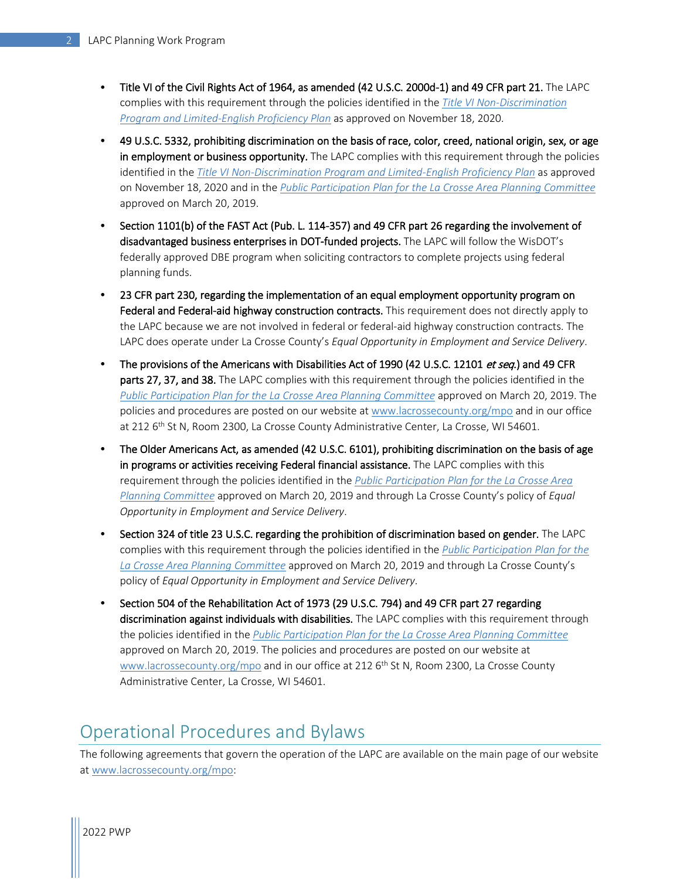- Title VI of the Civil Rights Act of 1964, as amended (42 U.S.C. 2000d-1) and 49 CFR part 21. The LAPC complies with this requirement through the policies identified in the *[Title VI Non-Discrimination](https://www.lacrossecounty.org/docs/default-source/metropolitan-planning-organization/final-lapc-2020-title-vi-and-lep-plan_approved-november-18-2020.pdf?sfvrsn=95e5d083_0)  [Program and Limited-English Proficiency Plan](https://www.lacrossecounty.org/docs/default-source/metropolitan-planning-organization/final-lapc-2020-title-vi-and-lep-plan_approved-november-18-2020.pdf?sfvrsn=95e5d083_0)* as approved on November 18, 2020.
- 49 U.S.C. 5332, prohibiting discrimination on the basis of race, color, creed, national origin, sex, or age in employment or business opportunity. The LAPC complies with this requirement through the policies identified in the *[Title VI Non-Discrimination Program and Limited-English Proficiency Plan](https://www.lacrossecounty.org/docs/default-source/metropolitan-planning-organization/final-lapc-2020-title-vi-and-lep-plan_approved-november-18-2020.pdf?sfvrsn=95e5d083_0)* as approved on November 18, 2020 and in the *[Public Participation Plan for the La Crosse Area Planning Committee](https://www.lacrossecounty.org/docs/default-source/metropolitan-planning-organization/public-participation-plan-march-20-2019d1408fc6ac9846378a3a456c717b3627.pdf?sfvrsn=6f18bebd_0)* approved on March 20, 2019.
- Section 1101(b) of the FAST Act (Pub. L. 114-357) and 49 CFR part 26 regarding the involvement of disadvantaged business enterprises in DOT-funded projects. The LAPC will follow the WisDOT's federally approved DBE program when soliciting contractors to complete projects using federal planning funds.
- 23 CFR part 230, regarding the implementation of an equal employment opportunity program on Federal and Federal-aid highway construction contracts. This requirement does not directly apply to the LAPC because we are not involved in federal or federal-aid highway construction contracts. The LAPC does operate under La Crosse County's *Equal Opportunity in Employment and Service Delivery*.
- The provisions of the Americans with Disabilities Act of 1990 (42 U.S.C. 12101 *et seq.*) and 49 CFR parts 27, 37, and 38. The LAPC complies with this requirement through the policies identified in the *[Public Participation Plan for the La Crosse Area Planning Committee](https://www.lacrossecounty.org/docs/default-source/metropolitan-planning-organization/public-participation-plan-march-20-2019d1408fc6ac9846378a3a456c717b3627.pdf?sfvrsn=6f18bebd_0)* approved on March 20, 2019. The policies and procedures are posted on our website at [www.lacrossecounty.org/mpo](http://www.lacrossecounty.org/mpo) and in our office at 212 6<sup>th</sup> St N, Room 2300, La Crosse County Administrative Center, La Crosse, WI 54601.
- The Older Americans Act, as amended (42 U.S.C. 6101), prohibiting discrimination on the basis of age in programs or activities receiving Federal financial assistance. The LAPC complies with this requirement through the policies identified in the *[Public Participation Plan for the La Crosse Area](https://www.lacrossecounty.org/docs/default-source/metropolitan-planning-organization/public-participation-plan-march-20-2019d1408fc6ac9846378a3a456c717b3627.pdf?sfvrsn=6f18bebd_0)  [Planning Committee](https://www.lacrossecounty.org/docs/default-source/metropolitan-planning-organization/public-participation-plan-march-20-2019d1408fc6ac9846378a3a456c717b3627.pdf?sfvrsn=6f18bebd_0)* approved on March 20, 2019 and through La Crosse County's policy of *Equal Opportunity in Employment and Service Delivery*.
- Section 324 of title 23 U.S.C. regarding the prohibition of discrimination based on gender. The LAPC complies with this requirement through the policies identified in the *[Public Participation Plan for the](https://www.lacrossecounty.org/docs/default-source/metropolitan-planning-organization/public-participation-plan-march-20-2019d1408fc6ac9846378a3a456c717b3627.pdf?sfvrsn=6f18bebd_0)  [La Crosse Area Planning Committee](https://www.lacrossecounty.org/docs/default-source/metropolitan-planning-organization/public-participation-plan-march-20-2019d1408fc6ac9846378a3a456c717b3627.pdf?sfvrsn=6f18bebd_0)* approved on March 20, 2019 and through La Crosse County's policy of *Equal Opportunity in Employment and Service Delivery*.
- Section 504 of the Rehabilitation Act of 1973 (29 U.S.C. 794) and 49 CFR part 27 regarding discrimination against individuals with disabilities. The LAPC complies with this requirement through the policies identified in the *[Public Participation Plan for the La Crosse Area Planning Committee](https://www.lacrossecounty.org/docs/default-source/metropolitan-planning-organization/public-participation-plan-march-20-2019d1408fc6ac9846378a3a456c717b3627.pdf?sfvrsn=6f18bebd_0)* approved on March 20, 2019. The policies and procedures are posted on our website at [www.lacrossecounty.org/mpo](http://www.lacrossecounty.org/mpo) and in our office at 212 6<sup>th</sup> St N, Room 2300, La Crosse County Administrative Center, La Crosse, WI 54601.

## <span id="page-7-0"></span>Operational Procedures and Bylaws

The following agreements that govern the operation of the LAPC are available on the main page of our website at [www.lacrossecounty.org/mpo:](http://www.lacrossecounty.org/mpo)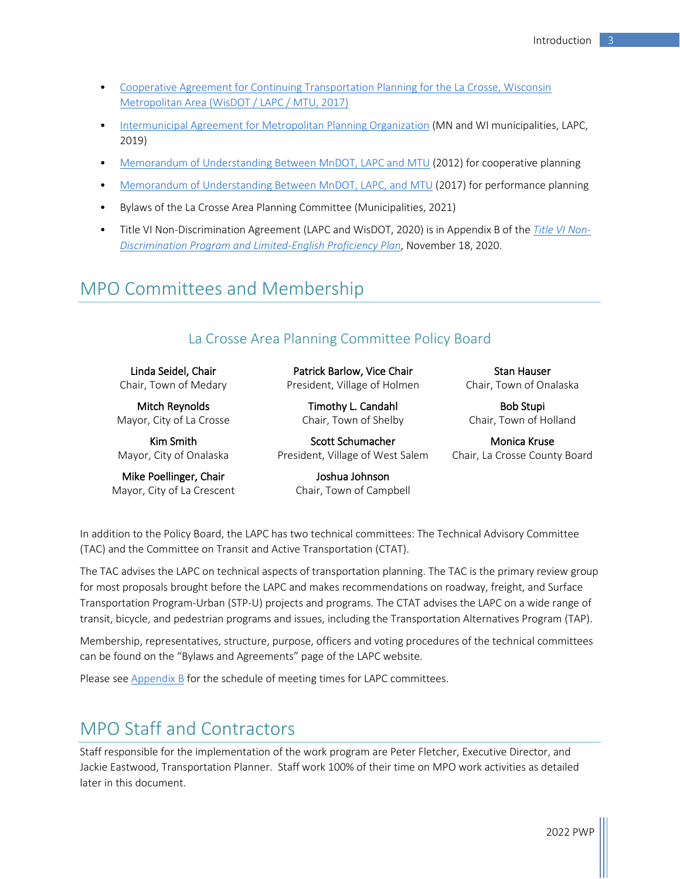- [Cooperative Agreement for Continuing Transportation Planning for the La Crosse, Wisconsin](https://www.lacrossecounty.org/docs/default-source/metropolitan-planning-organization/coop-agreement-wisdot-lapc-mtu-signed-2017--1.pdf?sfvrsn=449eca0_0) Metropolitan Area [\(WisDOT / LAPC / MTU, 2017\)](https://www.lacrossecounty.org/docs/default-source/metropolitan-planning-organization/coop-agreement-wisdot-lapc-mtu-signed-2017--1.pdf?sfvrsn=449eca0_0)
- [Intermunicipal Agreement for Metropolitan Planning Organization](https://www.lacrossecounty.org/docs/default-source/metropolitan-planning-organization/2019-intermunicipal-agreement_signed.pdf?sfvrsn=b29e5110_0) (MN and WI municipalities, LAPC, 2019)
- [Memorandum of Understanding Between MnDOT, LAPC and MTU](https://www.lacrossecounty.org/docs/default-source/metropolitan-planning-organization/mou-between-mndot-lapc-mtu-for-planning-02356-2012-signed.pdf?sfvrsn=a941095c_0) (2012) for cooperative planning
- [Memorandum of Understanding Between MnDOT, LAPC, and MTU](https://www.lacrossecounty.org/docs/default-source/metropolitan-planning-organization/mou-between-mndot-lapc-and-mtu-1029078-signed-2017.pdf?sfvrsn=44e209cb_0) (2017) for performance planning
- Bylaws of the La Crosse Area Planning Committee (Municipalities, 2021)
- Title VI Non-Discrimination Agreement (LAPC and WisDOT, 2020) is in Appendix B of the *[Title VI Non-](https://www.lacrossecounty.org/docs/default-source/metropolitan-planning-organization/final-lapc-2020-title-vi-and-lep-plan_approved-november-18-2020.pdf?sfvrsn=95e5d083_0)[Discrimination Program and Limited-English Proficiency Plan](https://www.lacrossecounty.org/docs/default-source/metropolitan-planning-organization/final-lapc-2020-title-vi-and-lep-plan_approved-november-18-2020.pdf?sfvrsn=95e5d083_0)*, November 18, 2020.

### <span id="page-8-1"></span><span id="page-8-0"></span>MPO Committees and Membership

#### La Crosse Area Planning Committee Policy Board

Linda Seidel, Chair Chair, Town of Medary

Mitch Reynolds Mayor, City of La Crosse

Kim Smith Mayor, City of Onalaska

Mike Poellinger, Chair Mayor, City of La Crescent

Patrick Barlow, Vice Chair President, Village of Holmen

> Timothy L. Candahl Chair, Town of Shelby

Scott Schumacher President, Village of West Salem

> Joshua Johnson Chair, Town of Campbell

Stan Hauser Chair, Town of Onalaska

Bob Stupi Chair, Town of Holland

Monica Kruse Chair, La Crosse County Board

In addition to the Policy Board, the LAPC has two technical committees: The Technical Advisory Committee (TAC) and the Committee on Transit and Active Transportation (CTAT).

The TAC advises the LAPC on technical aspects of transportation planning. The TAC is the primary review group for most proposals brought before the LAPC and makes recommendations on roadway, freight, and Surface Transportation Program-Urban (STP-U) projects and programs. The CTAT advises the LAPC on a wide range of transit, bicycle, and pedestrian programs and issues, including the Transportation Alternatives Program (TAP).

Membership, representatives, structure, purpose, officers and voting procedures of the technical committees can be found on the "Bylaws and Agreements" page of the LAPC website.

Please see [Appendix B](#page-22-0) for the schedule of meeting times for LAPC committees.

### <span id="page-8-2"></span>MPO Staff and Contractors

Staff responsible for the implementation of the work program are Peter Fletcher, Executive Director, and Jackie Eastwood, Transportation Planner. Staff work 100% of their time on MPO work activities as detailed later in this document.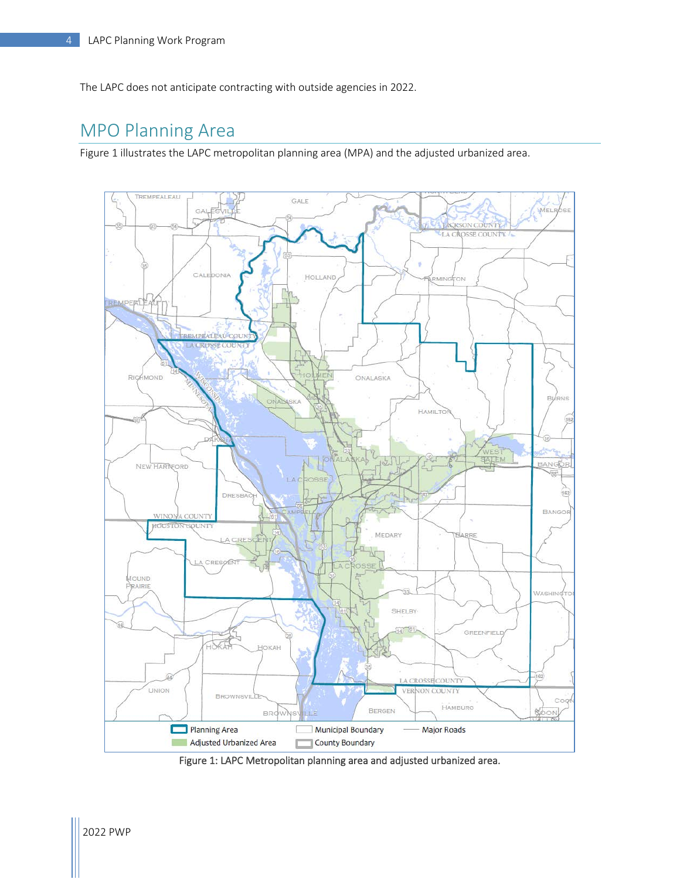The LAPC does not anticipate contracting with outside agencies in 2022.

## <span id="page-9-0"></span>MPO Planning Area

Figure 1 illustrates the LAPC metropolitan planning area (MPA) and the adjusted urbanized area.



<span id="page-9-1"></span>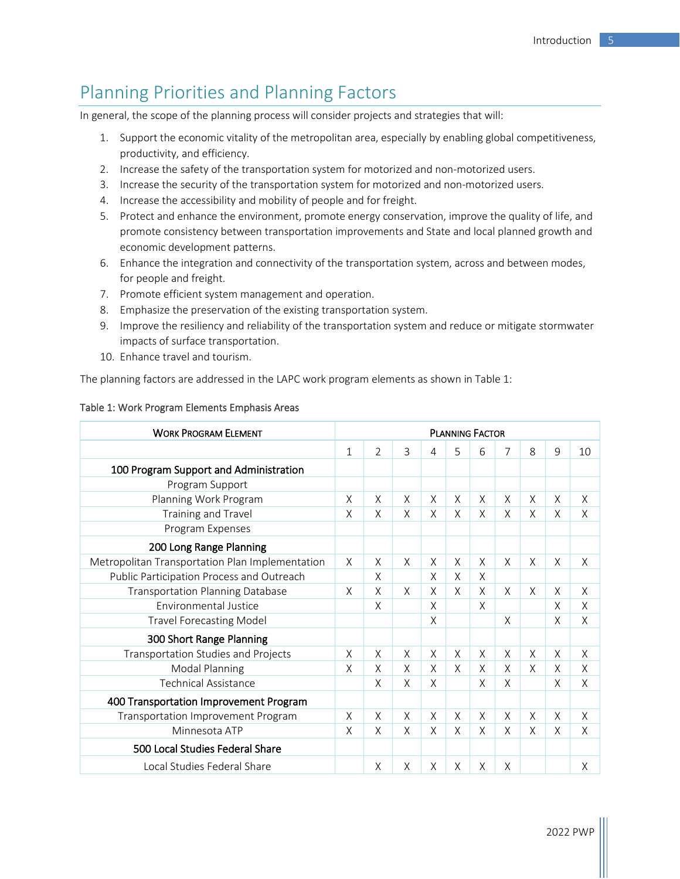## Planning Priorities and Planning Factors

In general, the scope of the planning process will consider projects and strategies that will:

- 1. Support the economic vitality of the metropolitan area, especially by enabling global competitiveness, productivity, and efficiency.
- 2. Increase the safety of the transportation system for motorized and non-motorized users.
- 3. Increase the security of the transportation system for motorized and non-motorized users.
- 4. Increase the accessibility and mobility of people and for freight.
- 5. Protect and enhance the environment, promote energy conservation, improve the quality of life, and promote consistency between transportation improvements and State and local planned growth and economic development patterns.
- 6. Enhance the integration and connectivity of the transportation system, across and between modes, for people and freight.
- 7. Promote efficient system management and operation.
- 8. Emphasize the preservation of the existing transportation system.
- 9. Improve the resiliency and reliability of the transportation system and reduce or mitigate stormwater impacts of surface transportation.
- 10. Enhance travel and tourism.

The planning factors are addressed in the LAPC work program elements as shown in Table 1:

#### Table 1: Work Program Elements Emphasis Areas

| <b>WORK PROGRAM ELEMENT</b>                     | <b>PLANNING FACTOR</b> |                |   |   |   |   |   |   |   |        |
|-------------------------------------------------|------------------------|----------------|---|---|---|---|---|---|---|--------|
|                                                 | 1                      | $\overline{2}$ | 3 | 4 | 5 | 6 | 7 | 8 | 9 | 10     |
| 100 Program Support and Administration          |                        |                |   |   |   |   |   |   |   |        |
| Program Support                                 |                        |                |   |   |   |   |   |   |   |        |
| Planning Work Program                           | X                      | X              | X | X | X | X | X | X | X | X      |
| Training and Travel                             | X                      | X              | X | X | X | X | X | X | X | X      |
| Program Expenses                                |                        |                |   |   |   |   |   |   |   |        |
| 200 Long Range Planning                         |                        |                |   |   |   |   |   |   |   |        |
| Metropolitan Transportation Plan Implementation | X                      | X              | X | X | X | X | X | X | X | X      |
| Public Participation Process and Outreach       |                        | X              |   | X | X | X |   |   |   |        |
| <b>Transportation Planning Database</b>         | X                      | X              | X | X | X | X | X | X | X | Χ      |
| Environmental Justice                           |                        | $\times$       |   | X |   | X |   |   | X | $\chi$ |
| <b>Travel Forecasting Model</b>                 |                        |                |   | X |   |   | X |   | X | $\chi$ |
| 300 Short Range Planning                        |                        |                |   |   |   |   |   |   |   |        |
| Transportation Studies and Projects             | X                      | $\times$       | X | X | X | X | X | X | X | X      |
| Modal Planning                                  | Χ                      | X              | X | X | X | X | X | X | X | X      |
| <b>Technical Assistance</b>                     |                        | X              | X | X |   | X | X |   | X | X      |
| 400 Transportation Improvement Program          |                        |                |   |   |   |   |   |   |   |        |
| Transportation Improvement Program              | X                      | X              | X | X | X | X | X | X | X | Χ      |
| Minnesota ATP                                   | X                      | X              | X | X | X | X | X | X | X | X      |
| 500 Local Studies Federal Share                 |                        |                |   |   |   |   |   |   |   |        |
| Local Studies Federal Share                     |                        | X              | X | X | X | X | X |   |   | X      |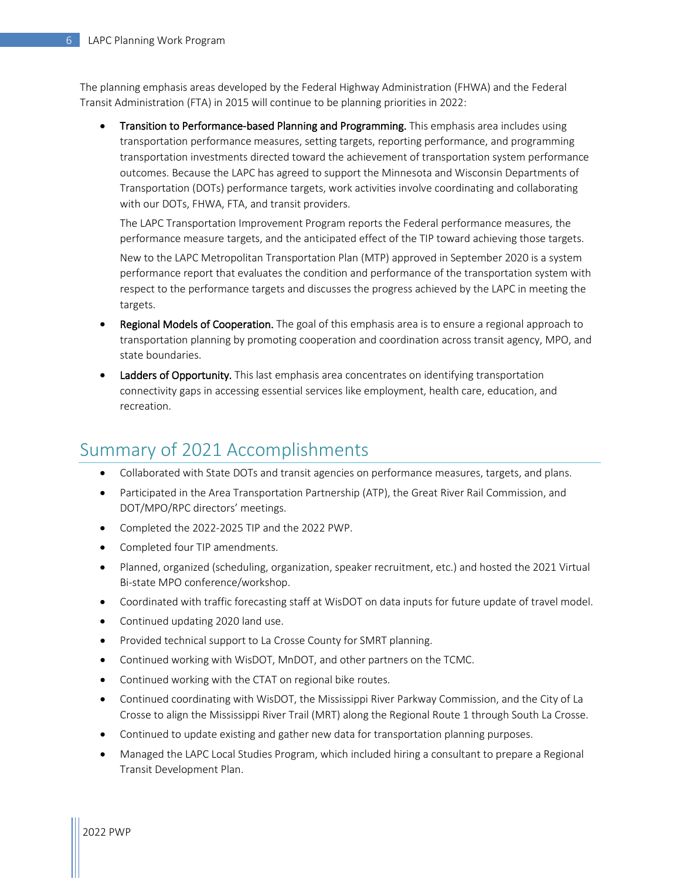The planning emphasis areas developed by the Federal Highway Administration (FHWA) and the Federal Transit Administration (FTA) in 2015 will continue to be planning priorities in 2022:

**Transition to Performance-based Planning and Programming.** This emphasis area includes using transportation performance measures, setting targets, reporting performance, and programming transportation investments directed toward the achievement of transportation system performance outcomes. Because the LAPC has agreed to support the Minnesota and Wisconsin Departments of Transportation (DOTs) performance targets, work activities involve coordinating and collaborating with our DOTs, FHWA, FTA, and transit providers.

The LAPC Transportation Improvement Program reports the Federal performance measures, the performance measure targets, and the anticipated effect of the TIP toward achieving those targets.

New to the LAPC Metropolitan Transportation Plan (MTP) approved in September 2020 is a system performance report that evaluates the condition and performance of the transportation system with respect to the performance targets and discusses the progress achieved by the LAPC in meeting the targets.

- Regional Models of Cooperation. The goal of this emphasis area is to ensure a regional approach to transportation planning by promoting cooperation and coordination across transit agency, MPO, and state boundaries.
- Ladders of Opportunity. This last emphasis area concentrates on identifying transportation connectivity gaps in accessing essential services like employment, health care, education, and recreation.

### <span id="page-11-0"></span>Summary of 2021 Accomplishments

- Collaborated with State DOTs and transit agencies on performance measures, targets, and plans.
- Participated in the Area Transportation Partnership (ATP), the Great River Rail Commission, and DOT/MPO/RPC directors' meetings.
- Completed the 2022-2025 TIP and the 2022 PWP.
- Completed four TIP amendments.
- Planned, organized (scheduling, organization, speaker recruitment, etc.) and hosted the 2021 Virtual Bi-state MPO conference/workshop.
- Coordinated with traffic forecasting staff at WisDOT on data inputs for future update of travel model.
- Continued updating 2020 land use.
- Provided technical support to La Crosse County for SMRT planning.
- Continued working with WisDOT, MnDOT, and other partners on the TCMC.
- Continued working with the CTAT on regional bike routes.
- Continued coordinating with WisDOT, the Mississippi River Parkway Commission, and the City of La Crosse to align the Mississippi River Trail (MRT) along the Regional Route 1 through South La Crosse.
- Continued to update existing and gather new data for transportation planning purposes.
- Managed the LAPC Local Studies Program, which included hiring a consultant to prepare a Regional Transit Development Plan.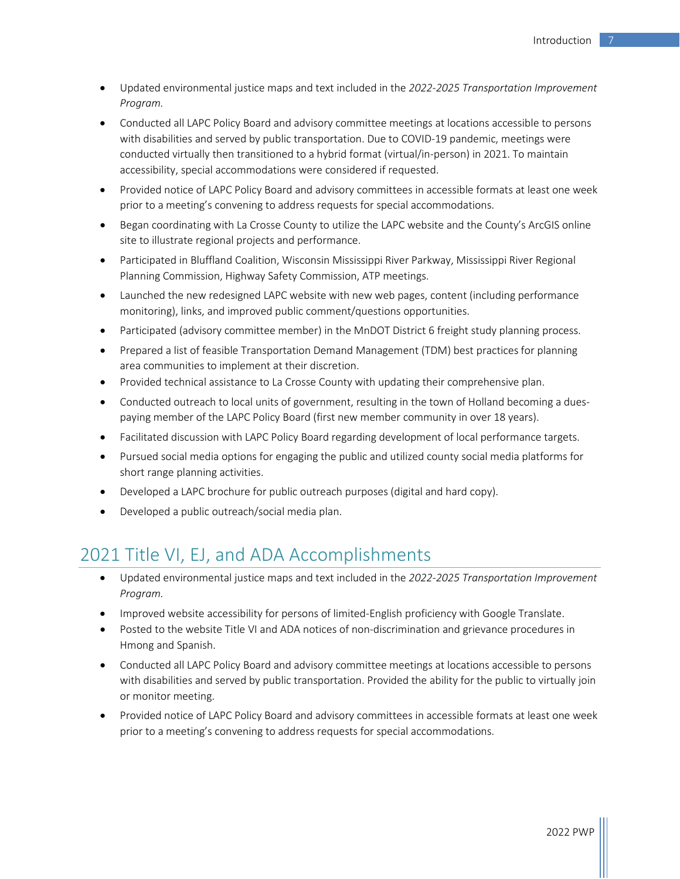- Updated environmental justice maps and text included in the *2022-2025 Transportation Improvement Program.*
- Conducted all LAPC Policy Board and advisory committee meetings at locations accessible to persons with disabilities and served by public transportation. Due to COVID-19 pandemic, meetings were conducted virtually then transitioned to a hybrid format (virtual/in-person) in 2021. To maintain accessibility, special accommodations were considered if requested.
- Provided notice of LAPC Policy Board and advisory committees in accessible formats at least one week prior to a meeting's convening to address requests for special accommodations.
- Began coordinating with La Crosse County to utilize the LAPC website and the County's ArcGIS online site to illustrate regional projects and performance.
- Participated in Bluffland Coalition, Wisconsin Mississippi River Parkway, Mississippi River Regional Planning Commission, Highway Safety Commission, ATP meetings.
- Launched the new redesigned LAPC website with new web pages, content (including performance monitoring), links, and improved public comment/questions opportunities.
- Participated (advisory committee member) in the MnDOT District 6 freight study planning process.
- Prepared a list of feasible Transportation Demand Management (TDM) best practices for planning area communities to implement at their discretion.
- Provided technical assistance to La Crosse County with updating their comprehensive plan.
- Conducted outreach to local units of government, resulting in the town of Holland becoming a duespaying member of the LAPC Policy Board (first new member community in over 18 years).
- Facilitated discussion with LAPC Policy Board regarding development of local performance targets.
- Pursued social media options for engaging the public and utilized county social media platforms for short range planning activities.
- Developed a LAPC brochure for public outreach purposes (digital and hard copy).
- Developed a public outreach/social media plan.

### <span id="page-12-0"></span>2021 Title VI, EJ, and ADA Accomplishments

- Updated environmental justice maps and text included in the *2022-2025 Transportation Improvement Program.*
- Improved website accessibility for persons of limited-English proficiency with Google Translate.
- Posted to the website Title VI and ADA notices of non-discrimination and grievance procedures in Hmong and Spanish.
- Conducted all LAPC Policy Board and advisory committee meetings at locations accessible to persons with disabilities and served by public transportation. Provided the ability for the public to virtually join or monitor meeting.
- Provided notice of LAPC Policy Board and advisory committees in accessible formats at least one week prior to a meeting's convening to address requests for special accommodations.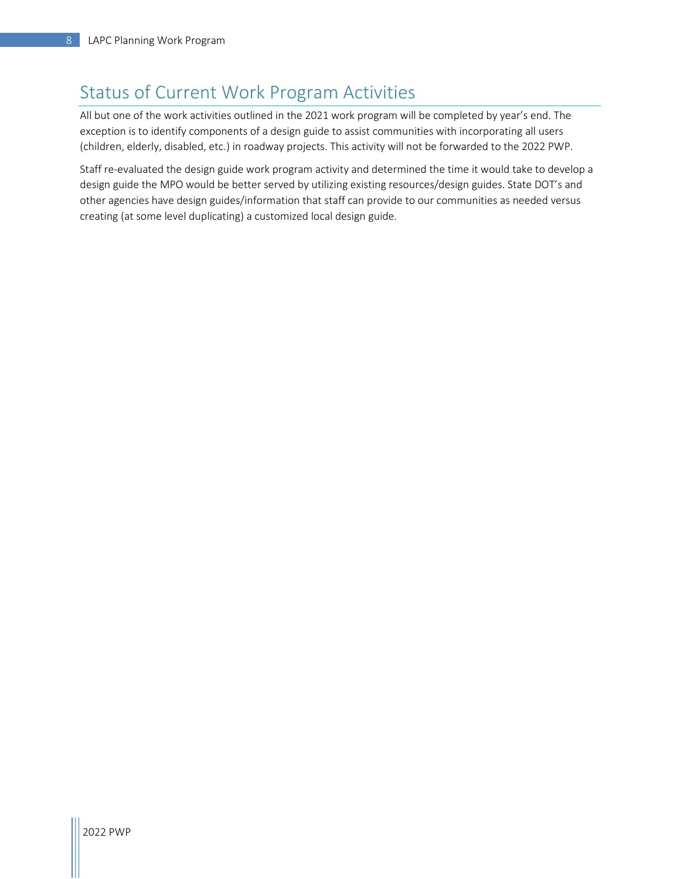## <span id="page-13-0"></span>Status of Current Work Program Activities

All but one of the work activities outlined in the 2021 work program will be completed by year's end. The exception is to identify components of a design guide to assist communities with incorporating all users (children, elderly, disabled, etc.) in roadway projects. This activity will not be forwarded to the 2022 PWP.

Staff re-evaluated the design guide work program activity and determined the time it would take to develop a design guide the MPO would be better served by utilizing existing resources/design guides. State DOT's and other agencies have design guides/information that staff can provide to our communities as needed versus creating (at some level duplicating) a customized local design guide.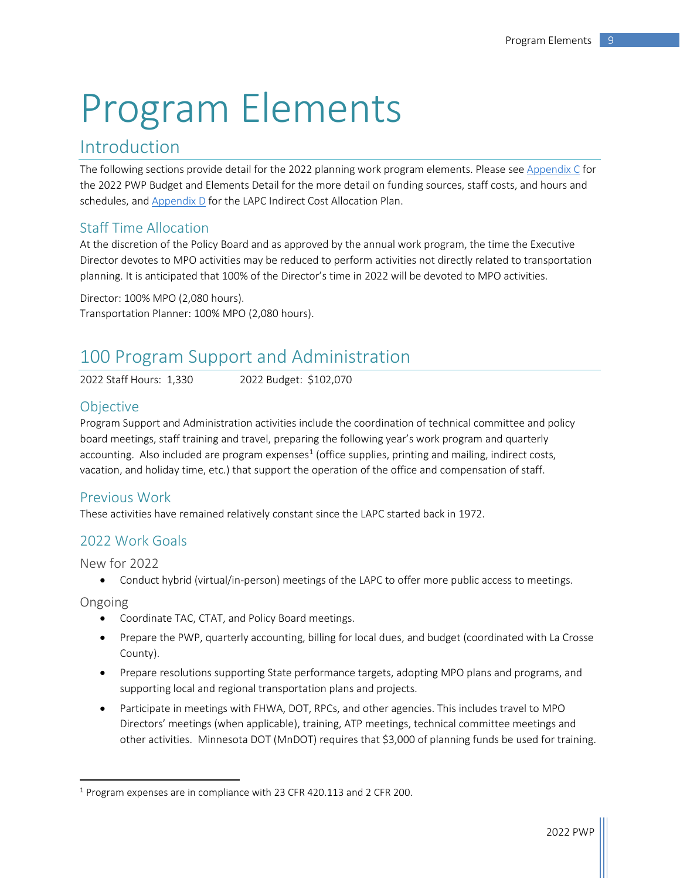## <span id="page-14-0"></span>Program Elements

### <span id="page-14-1"></span>Introduction

The following sections provide detail for the 2022 planning work program elements. Please se[e Appendix C](#page-24-0) for the 2022 PWP Budget and Elements Detail for the more detail on funding sources, staff costs, and hours and schedules, and [Appendix D](#page-28-0) for the LAPC Indirect Cost Allocation Plan.

#### <span id="page-14-2"></span>Staff Time Allocation

At the discretion of the Policy Board and as approved by the annual work program, the time the Executive Director devotes to MPO activities may be reduced to perform activities not directly related to transportation planning. It is anticipated that 100% of the Director's time in 2022 will be devoted to MPO activities.

Director: 100% MPO (2,080 hours). Transportation Planner: 100% MPO (2,080 hours).

## <span id="page-14-3"></span>100 Program Support and Administration

2022 Staff Hours: 1,330 2022 Budget: \$102,070

#### <span id="page-14-4"></span>**Objective**

Program Support and Administration activities include the coordination of technical committee and policy board meetings, staff training and travel, preparing the following year's work program and quarterly accounting. Also included are program expenses<sup>[1](#page-14-7)</sup> (office supplies, printing and mailing, indirect costs, vacation, and holiday time, etc.) that support the operation of the office and compensation of staff.

#### <span id="page-14-5"></span>Previous Work

These activities have remained relatively constant since the LAPC started back in 1972.

#### <span id="page-14-6"></span>2022 Work Goals

New for 2022

• Conduct hybrid (virtual/in-person) meetings of the LAPC to offer more public access to meetings.

Ongoing

- Coordinate TAC, CTAT, and Policy Board meetings.
- Prepare the PWP, quarterly accounting, billing for local dues, and budget (coordinated with La Crosse County).
- Prepare resolutions supporting State performance targets, adopting MPO plans and programs, and supporting local and regional transportation plans and projects.
- Participate in meetings with FHWA, DOT, RPCs, and other agencies. This includes travel to MPO Directors' meetings (when applicable), training, ATP meetings, technical committee meetings and other activities. Minnesota DOT (MnDOT) requires that \$3,000 of planning funds be used for training.

<span id="page-14-7"></span> $1$  Program expenses are in compliance with 23 CFR 420.113 and 2 CFR 200.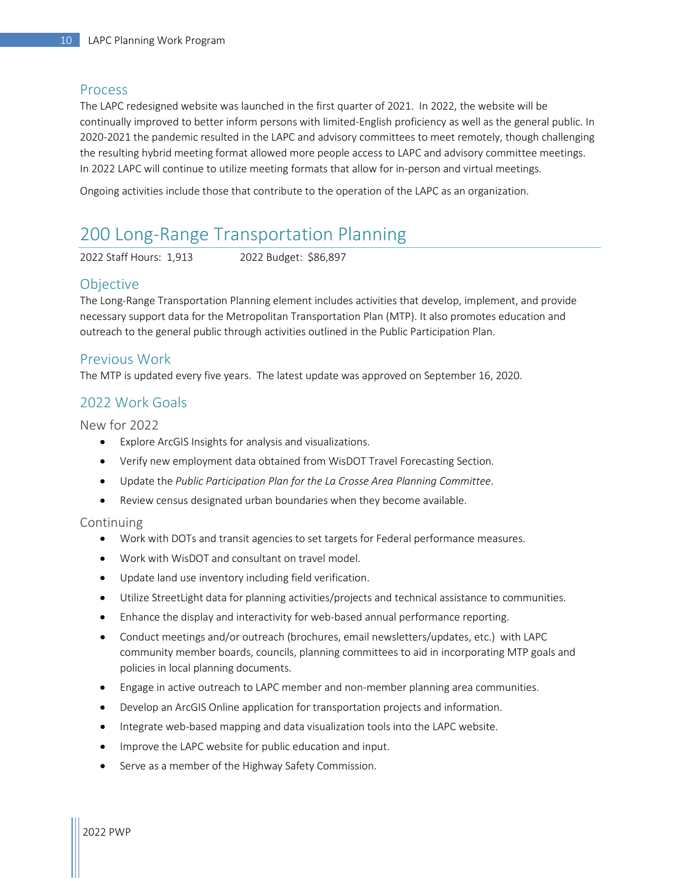#### <span id="page-15-0"></span>Process

The LAPC redesigned website was launched in the first quarter of 2021. In 2022, the website will be continually improved to better inform persons with limited-English proficiency as well as the general public. In 2020-2021 the pandemic resulted in the LAPC and advisory committees to meet remotely, though challenging the resulting hybrid meeting format allowed more people access to LAPC and advisory committee meetings. In 2022 LAPC will continue to utilize meeting formats that allow for in-person and virtual meetings.

Ongoing activities include those that contribute to the operation of the LAPC as an organization.

## <span id="page-15-1"></span>200 Long-Range Transportation Planning

2022 Staff Hours: 1,913 2022 Budget: \$86,897

#### <span id="page-15-2"></span>**Objective**

The Long-Range Transportation Planning element includes activities that develop, implement, and provide necessary support data for the Metropolitan Transportation Plan (MTP). It also promotes education and outreach to the general public through activities outlined in the Public Participation Plan.

#### <span id="page-15-3"></span>Previous Work

The MTP is updated every five years. The latest update was approved on September 16, 2020.

#### <span id="page-15-4"></span>2022 Work Goals

New for 2022

- Explore ArcGIS Insights for analysis and visualizations.
- Verify new employment data obtained from WisDOT Travel Forecasting Section.
- Update the *Public Participation Plan for the La Crosse Area Planning Committee*.
- Review census designated urban boundaries when they become available.

#### Continuing

- Work with DOTs and transit agencies to set targets for Federal performance measures.
- Work with WisDOT and consultant on travel model.
- Update land use inventory including field verification.
- Utilize StreetLight data for planning activities/projects and technical assistance to communities.
- Enhance the display and interactivity for web-based annual performance reporting.
- Conduct meetings and/or outreach (brochures, email newsletters/updates, etc.) with LAPC community member boards, councils, planning committees to aid in incorporating MTP goals and policies in local planning documents.
- Engage in active outreach to LAPC member and non-member planning area communities.
- Develop an ArcGIS Online application for transportation projects and information.
- Integrate web-based mapping and data visualization tools into the LAPC website.
- Improve the LAPC website for public education and input.
- Serve as a member of the Highway Safety Commission.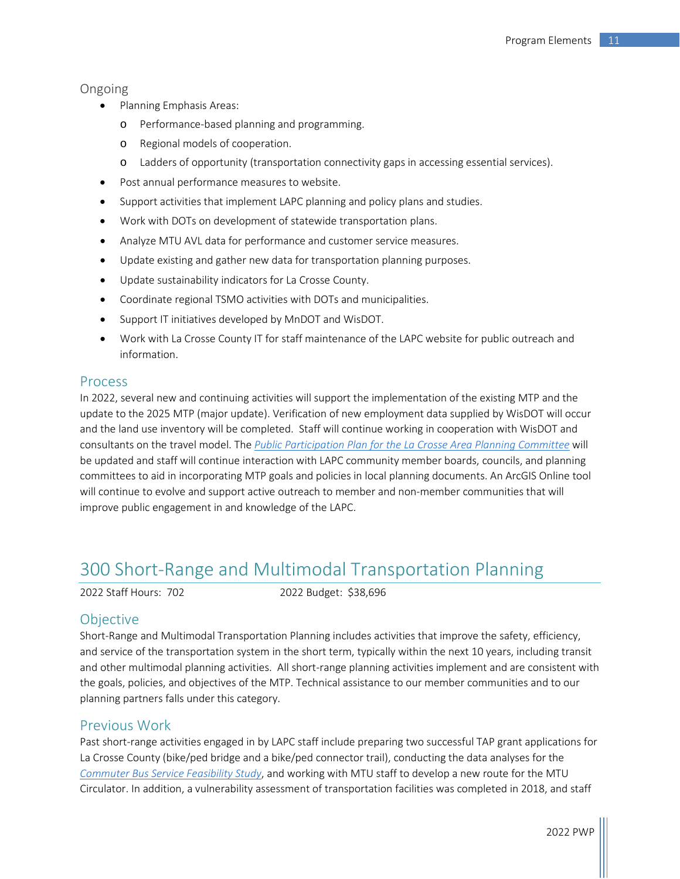#### Ongoing

- Planning Emphasis Areas:
	- o Performance-based planning and programming.
	- o Regional models of cooperation.
	- o Ladders of opportunity (transportation connectivity gaps in accessing essential services).
- Post annual performance measures to website.
- Support activities that implement LAPC planning and policy plans and studies.
- Work with DOTs on development of statewide transportation plans.
- Analyze MTU AVL data for performance and customer service measures.
- Update existing and gather new data for transportation planning purposes.
- Update sustainability indicators for La Crosse County.
- Coordinate regional TSMO activities with DOTs and municipalities.
- Support IT initiatives developed by MnDOT and WisDOT.
- Work with La Crosse County IT for staff maintenance of the LAPC website for public outreach and information.

#### <span id="page-16-0"></span>Process

In 2022, several new and continuing activities will support the implementation of the existing MTP and the update to the 2025 MTP (major update). Verification of new employment data supplied by WisDOT will occur and the land use inventory will be completed. Staff will continue working in cooperation with WisDOT and consultants on the travel model. The *[Public Participation Plan for the La Crosse Area Planning Committee](https://www.lacrossecounty.org/docs/default-source/metropolitan-planning-organization/public-participation-plan-march-20-2019d1408fc6ac9846378a3a456c717b3627.pdf?sfvrsn=6f18bebd_0)* will be updated and staff will continue interaction with LAPC community member boards, councils, and planning committees to aid in incorporating MTP goals and policies in local planning documents. An ArcGIS Online tool will continue to evolve and support active outreach to member and non-member communities that will improve public engagement in and knowledge of the LAPC.

### <span id="page-16-1"></span>300 Short-Range and Multimodal Transportation Planning

2022 Staff Hours: 702 2022 Budget: \$38,696

#### <span id="page-16-2"></span>**Objective**

Short-Range and Multimodal Transportation Planning includes activities that improve the safety, efficiency, and service of the transportation system in the short term, typically within the next 10 years, including transit and other multimodal planning activities. All short-range planning activities implement and are consistent with the goals, policies, and objectives of the MTP. Technical assistance to our member communities and to our planning partners falls under this category.

#### <span id="page-16-3"></span>Previous Work

Past short-range activities engaged in by LAPC staff include preparing two successful TAP grant applications for La Crosse County (bike/ped bridge and a bike/ped connector trail), conducting the data analyses for the *[Commuter Bus Service Feasibility Study](https://www.lacrossecounty.org/docs/default-source/metropolitan-planning-organization/commuter-bus-service-feasibility-study.pdf?sfvrsn=b7c745a3_0)*, and working with MTU staff to develop a new route for the MTU Circulator. In addition, a vulnerability assessment of transportation facilities was completed in 2018, and staff

2022 PWP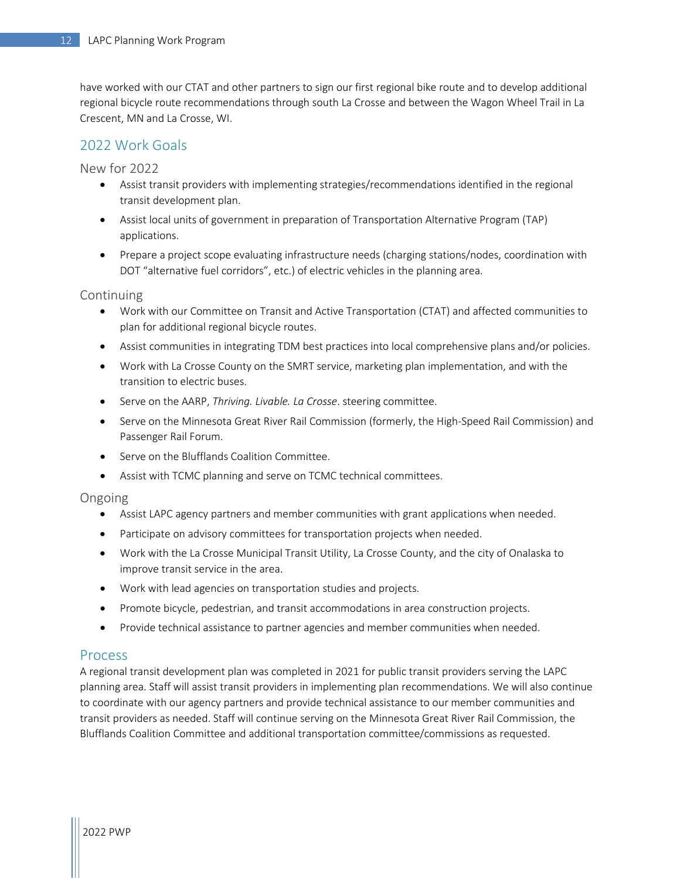have worked with our CTAT and other partners to sign our first regional bike route and to develop additional regional bicycle route recommendations through south La Crosse and between the Wagon Wheel Trail in La Crescent, MN and La Crosse, WI.

#### <span id="page-17-0"></span>2022 Work Goals

New for 2022

- Assist transit providers with implementing strategies/recommendations identified in the regional transit development plan.
- Assist local units of government in preparation of Transportation Alternative Program (TAP) applications.
- Prepare a project scope evaluating infrastructure needs (charging stations/nodes, coordination with DOT "alternative fuel corridors", etc.) of electric vehicles in the planning area.

Continuing

- Work with our Committee on Transit and Active Transportation (CTAT) and affected communities to plan for additional regional bicycle routes.
- Assist communities in integrating TDM best practices into local comprehensive plans and/or policies.
- Work with La Crosse County on the SMRT service, marketing plan implementation, and with the transition to electric buses.
- Serve on the AARP, *Thriving. Livable. La Crosse*. steering committee.
- Serve on the Minnesota Great River Rail Commission (formerly, the High-Speed Rail Commission) and Passenger Rail Forum.
- Serve on the Blufflands Coalition Committee.
- Assist with TCMC planning and serve on TCMC technical committees.

#### Ongoing

- Assist LAPC agency partners and member communities with grant applications when needed.
- Participate on advisory committees for transportation projects when needed.
- Work with the La Crosse Municipal Transit Utility, La Crosse County, and the city of Onalaska to improve transit service in the area.
- Work with lead agencies on transportation studies and projects.
- Promote bicycle, pedestrian, and transit accommodations in area construction projects.
- Provide technical assistance to partner agencies and member communities when needed.

#### <span id="page-17-1"></span>Process

A regional transit development plan was completed in 2021 for public transit providers serving the LAPC planning area. Staff will assist transit providers in implementing plan recommendations. We will also continue to coordinate with our agency partners and provide technical assistance to our member communities and transit providers as needed. Staff will continue serving on the Minnesota Great River Rail Commission, the Blufflands Coalition Committee and additional transportation committee/commissions as requested.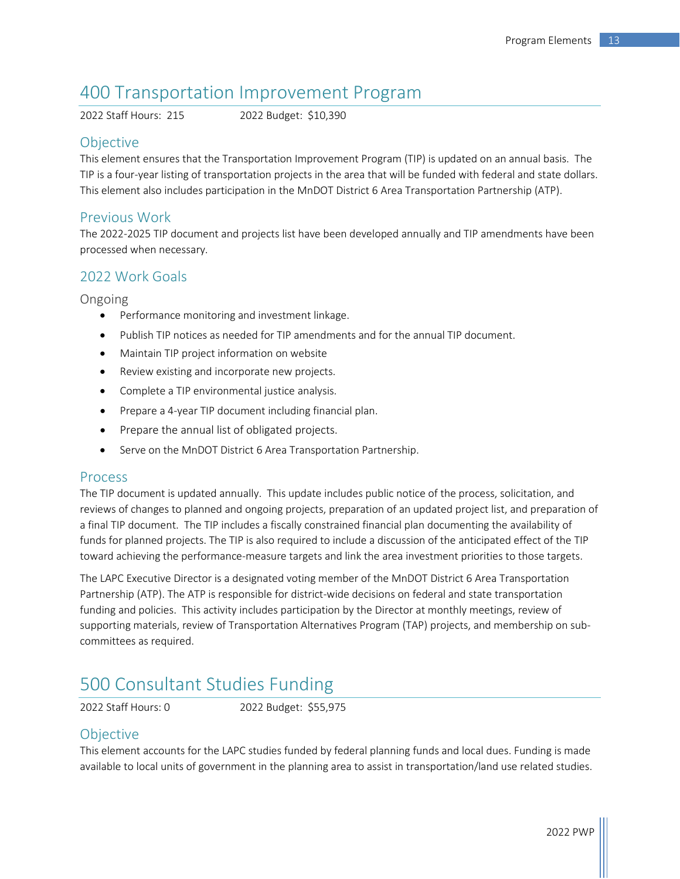## <span id="page-18-0"></span>400 Transportation Improvement Program

2022 Staff Hours: 215 2022 Budget: \$10,390

#### <span id="page-18-1"></span>**Objective**

This element ensures that the Transportation Improvement Program (TIP) is updated on an annual basis. The TIP is a four-year listing of transportation projects in the area that will be funded with federal and state dollars. This element also includes participation in the MnDOT District 6 Area Transportation Partnership (ATP).

#### <span id="page-18-2"></span>Previous Work

The 2022-2025 TIP document and projects list have been developed annually and TIP amendments have been processed when necessary.

#### <span id="page-18-3"></span>2022 Work Goals

Ongoing

- Performance monitoring and investment linkage.
- Publish TIP notices as needed for TIP amendments and for the annual TIP document.
- Maintain TIP project information on website
- Review existing and incorporate new projects.
- Complete a TIP environmental justice analysis.
- Prepare a 4-year TIP document including financial plan.
- Prepare the annual list of obligated projects.
- Serve on the MnDOT District 6 Area Transportation Partnership.

#### <span id="page-18-4"></span>Process

The TIP document is updated annually. This update includes public notice of the process, solicitation, and reviews of changes to planned and ongoing projects, preparation of an updated project list, and preparation of a final TIP document. The TIP includes a fiscally constrained financial plan documenting the availability of funds for planned projects. The TIP is also required to include a discussion of the anticipated effect of the TIP toward achieving the performance-measure targets and link the area investment priorities to those targets.

The LAPC Executive Director is a designated voting member of the MnDOT District 6 Area Transportation Partnership (ATP). The ATP is responsible for district-wide decisions on federal and state transportation funding and policies. This activity includes participation by the Director at monthly meetings, review of supporting materials, review of Transportation Alternatives Program (TAP) projects, and membership on subcommittees as required.

## <span id="page-18-5"></span>500 Consultant Studies Funding

2022 Staff Hours: 0 2022 Budget: \$55,975

#### <span id="page-18-6"></span>**Objective**

This element accounts for the LAPC studies funded by federal planning funds and local dues. Funding is made available to local units of government in the planning area to assist in transportation/land use related studies.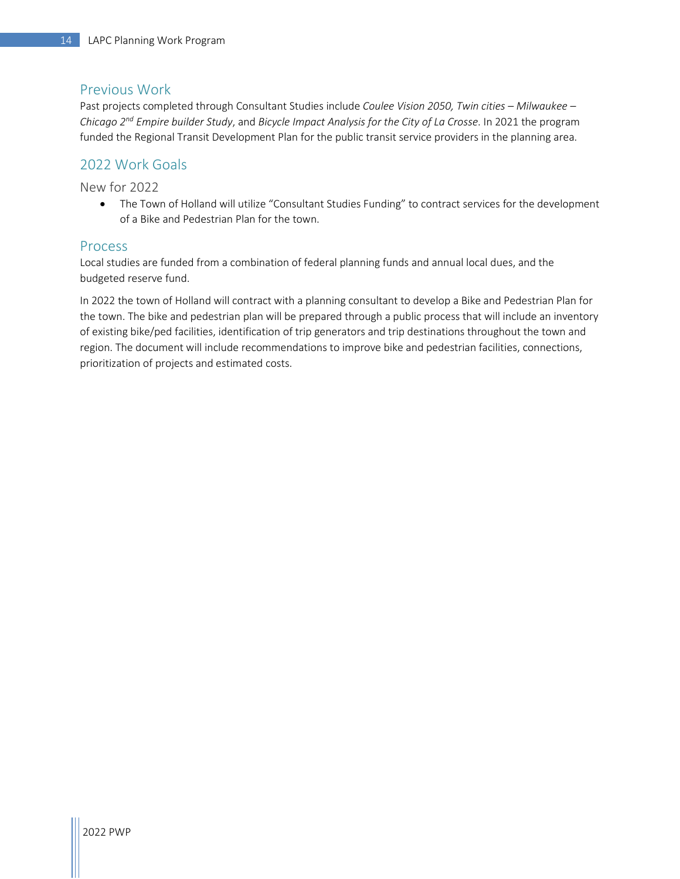#### <span id="page-19-0"></span>Previous Work

Past projects completed through Consultant Studies include *Coulee Vision 2050, Twin cities – Milwaukee – Chicago 2nd Empire builder Study*, and *Bicycle Impact Analysis for the City of La Crosse*. In 2021 the program funded the Regional Transit Development Plan for the public transit service providers in the planning area.

#### <span id="page-19-1"></span>2022 Work Goals

New for 2022

• The Town of Holland will utilize "Consultant Studies Funding" to contract services for the development of a Bike and Pedestrian Plan for the town.

#### <span id="page-19-2"></span>Process

Local studies are funded from a combination of federal planning funds and annual local dues, and the budgeted reserve fund.

<span id="page-19-3"></span>In 2022 the town of Holland will contract with a planning consultant to develop a Bike and Pedestrian Plan for the town. The bike and pedestrian plan will be prepared through a public process that will include an inventory of existing bike/ped facilities, identification of trip generators and trip destinations throughout the town and region. The document will include recommendations to improve bike and pedestrian facilities, connections, prioritization of projects and estimated costs.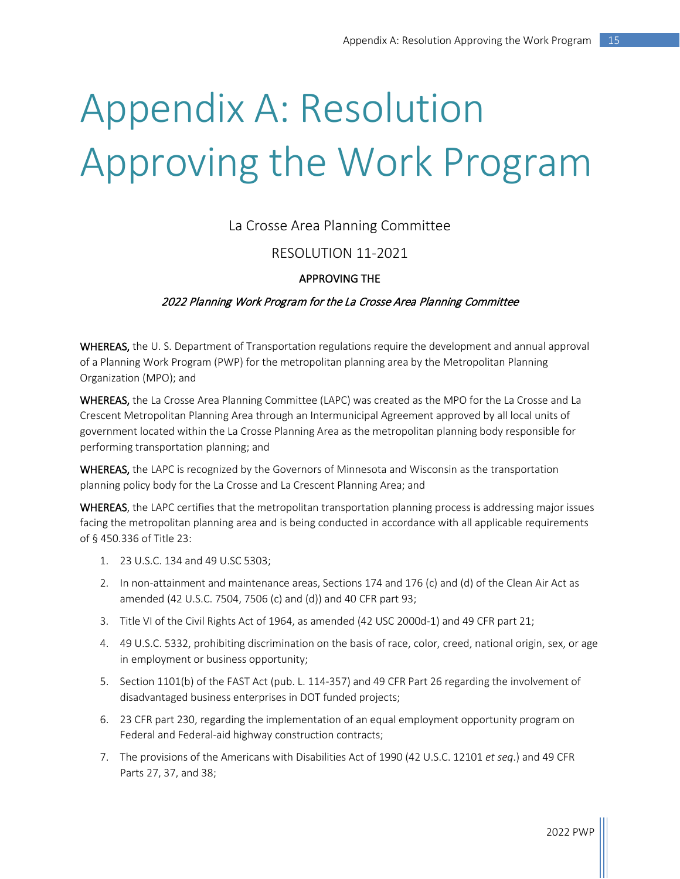## <span id="page-20-0"></span>Appendix A: Resolution Approving the Work Program

La Crosse Area Planning Committee

#### RESOLUTION 11-2021

#### APPROVING THE

#### 2022 Planning Work Program for the La Crosse Area Planning Committee

WHEREAS, the U. S. Department of Transportation regulations require the development and annual approval of a Planning Work Program (PWP) for the metropolitan planning area by the Metropolitan Planning Organization (MPO); and

WHEREAS, the La Crosse Area Planning Committee (LAPC) was created as the MPO for the La Crosse and La Crescent Metropolitan Planning Area through an Intermunicipal Agreement approved by all local units of government located within the La Crosse Planning Area as the metropolitan planning body responsible for performing transportation planning; and

WHEREAS, the LAPC is recognized by the Governors of Minnesota and Wisconsin as the transportation planning policy body for the La Crosse and La Crescent Planning Area; and

WHEREAS, the LAPC certifies that the metropolitan transportation planning process is addressing major issues facing the metropolitan planning area and is being conducted in accordance with all applicable requirements of § 450.336 of Title 23:

- 1. 23 U.S.C. 134 and 49 U.SC 5303;
- 2. In non-attainment and maintenance areas, Sections 174 and 176 (c) and (d) of the Clean Air Act as amended (42 U.S.C. 7504, 7506 (c) and (d)) and 40 CFR part 93;
- 3. Title VI of the Civil Rights Act of 1964, as amended (42 USC 2000d-1) and 49 CFR part 21;
- 4. 49 U.S.C. 5332, prohibiting discrimination on the basis of race, color, creed, national origin, sex, or age in employment or business opportunity;
- 5. Section 1101(b) of the FAST Act (pub. L. 114-357) and 49 CFR Part 26 regarding the involvement of disadvantaged business enterprises in DOT funded projects;
- 6. 23 CFR part 230, regarding the implementation of an equal employment opportunity program on Federal and Federal-aid highway construction contracts;
- 7. The provisions of the Americans with Disabilities Act of 1990 (42 U.S.C. 12101 *et seq*.) and 49 CFR Parts 27, 37, and 38;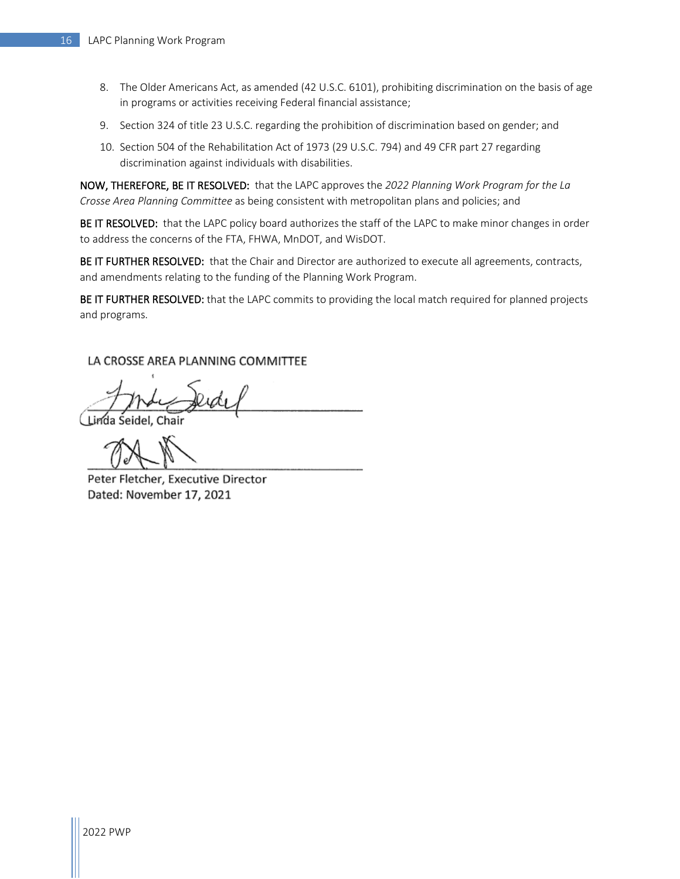- 8. The Older Americans Act, as amended (42 U.S.C. 6101), prohibiting discrimination on the basis of age in programs or activities receiving Federal financial assistance;
- 9. Section 324 of title 23 U.S.C. regarding the prohibition of discrimination based on gender; and
- 10. Section 504 of the Rehabilitation Act of 1973 (29 U.S.C. 794) and 49 CFR part 27 regarding discrimination against individuals with disabilities.

NOW, THEREFORE, BE IT RESOLVED: that the LAPC approves the *2022 Planning Work Program for the La Crosse Area Planning Committee* as being consistent with metropolitan plans and policies; and

BE IT RESOLVED: that the LAPC policy board authorizes the staff of the LAPC to make minor changes in order to address the concerns of the FTA, FHWA, MnDOT, and WisDOT.

BE IT FURTHER RESOLVED: that the Chair and Director are authorized to execute all agreements, contracts, and amendments relating to the funding of the Planning Work Program.

BE IT FURTHER RESOLVED: that the LAPC commits to providing the local match required for planned projects and programs.

LA CROSSE AREA PLANNING COMMITTEE

Linda Seidel, Chair

Peter Fletcher, Executive Director Dated: November 17, 2021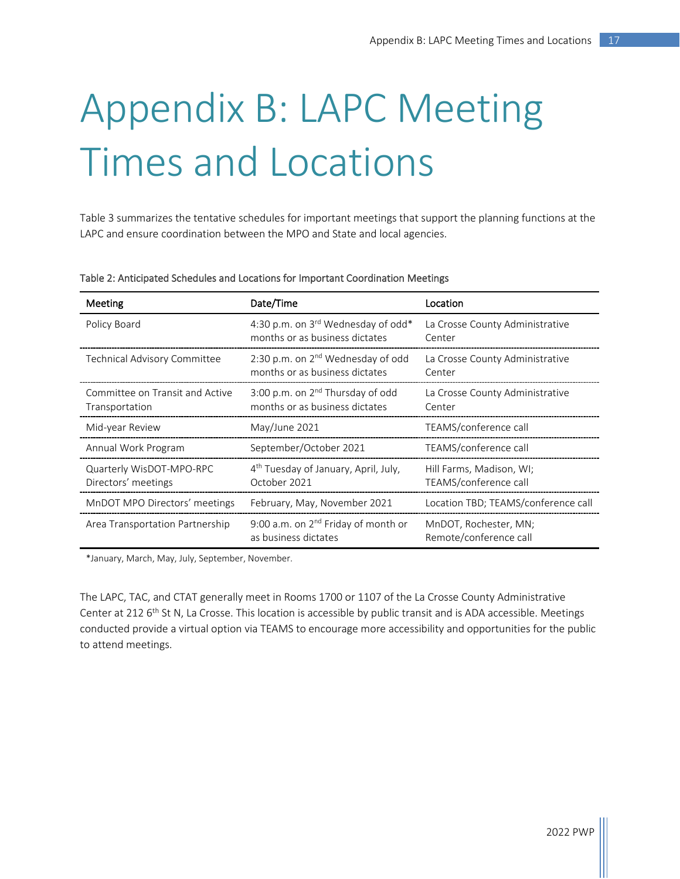## <span id="page-22-0"></span>Appendix B: LAPC Meeting Times and Locations

Table 3 summarizes the tentative schedules for important meetings that support the planning functions at the LAPC and ensure coordination between the MPO and State and local agencies.

| Meeting                                           | Date/Time                                                                       | Location                                          |
|---------------------------------------------------|---------------------------------------------------------------------------------|---------------------------------------------------|
| Policy Board                                      | 4:30 p.m. on 3rd Wednesday of odd*<br>months or as business dictates            | La Crosse County Administrative<br>Center         |
| <b>Technical Advisory Committee</b>               | 2:30 p.m. on 2 <sup>nd</sup> Wednesday of odd<br>months or as business dictates | La Crosse County Administrative<br>Center         |
| Committee on Transit and Active<br>Transportation | 3:00 p.m. on 2 <sup>nd</sup> Thursday of odd<br>months or as business dictates  | La Crosse County Administrative<br>Center         |
| Mid-year Review                                   | May/June 2021                                                                   | TEAMS/conference call                             |
| Annual Work Program                               | September/October 2021                                                          | TEAMS/conference call                             |
| Quarterly WisDOT-MPO-RPC<br>Directors' meetings   | 4 <sup>th</sup> Tuesday of January, April, July,<br>October 2021                | Hill Farms, Madison, WI;<br>TEAMS/conference call |
| MnDOT MPO Directors' meetings                     | February, May, November 2021                                                    | Location TBD; TEAMS/conference call               |
| Area Transportation Partnership                   | 9:00 a.m. on 2 <sup>nd</sup> Friday of month or<br>as business dictates         | MnDOT, Rochester, MN;<br>Remote/conference call   |

Table 2: Anticipated Schedules and Locations for Important Coordination Meetings

\*January, March, May, July, September, November.

The LAPC, TAC, and CTAT generally meet in Rooms 1700 or 1107 of the La Crosse County Administrative Center at 212 6<sup>th</sup> St N, La Crosse. This location is accessible by public transit and is ADA accessible. Meetings conducted provide a virtual option via TEAMS to encourage more accessibility and opportunities for the public to attend meetings.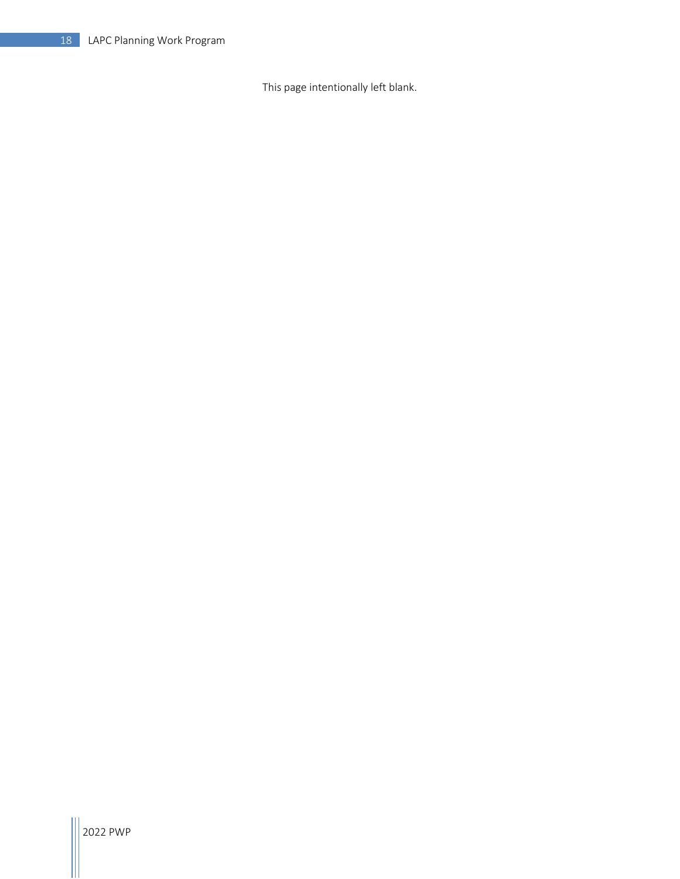This page intentionally left blank.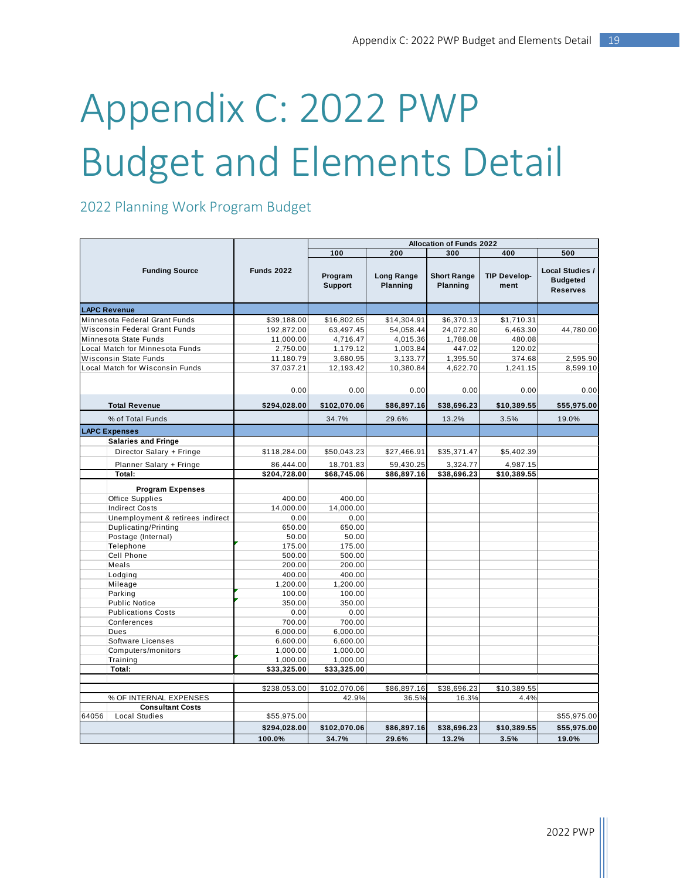## <span id="page-24-0"></span>Appendix C: 2022 PWP Budget and Elements Detail

2022 Planning Work Program Budget

|                                  |                   | <b>Allocation of Funds 2022</b> |                               |                                |                             |                                                              |  |
|----------------------------------|-------------------|---------------------------------|-------------------------------|--------------------------------|-----------------------------|--------------------------------------------------------------|--|
|                                  |                   | 100                             | 200                           | 300                            | 400                         | 500                                                          |  |
| <b>Funding Source</b>            | <b>Funds 2022</b> | Program<br><b>Support</b>       | <b>Long Range</b><br>Planning | <b>Short Range</b><br>Planning | <b>TIP Develop-</b><br>ment | <b>Local Studies /</b><br><b>Budgeted</b><br><b>Reserves</b> |  |
| <b>LAPC Revenue</b>              |                   |                                 |                               |                                |                             |                                                              |  |
| Minnesota Federal Grant Funds    | \$39,188.00       | \$16,802.65                     | \$14,304.91                   | \$6,370.13                     | \$1,710.31                  |                                                              |  |
| Wisconsin Federal Grant Funds    | 192,872.00        | 63,497.45                       | 54,058.44                     | 24,072.80                      | 6,463.30                    | 44,780.00                                                    |  |
| Minnesota State Funds            | 11,000.00         | 4,716.47                        | 4,015.36                      | 1,788.08                       | 480.08                      |                                                              |  |
| Local Match for Minnesota Funds  | 2,750.00          | 1,179.12                        | 1,003.84                      | 447.02                         | 120.02                      |                                                              |  |
| <b>Wisconsin State Funds</b>     | 11,180.79         | 3,680.95                        | 3,133.77                      | 1,395.50                       | 374.68                      | 2,595.90                                                     |  |
| Local Match for Wisconsin Funds  | 37,037.21         | 12,193.42                       | 10,380.84                     | 4,622.70                       | 1,241.15                    | 8,599.10                                                     |  |
|                                  | 0.00              | 0.00                            | 0.00                          | 0.00                           | 0.00                        | 0.00                                                         |  |
| <b>Total Revenue</b>             | \$294,028.00      | \$102,070.06                    | \$86,897.16                   | \$38,696.23                    | \$10,389.55                 | \$55,975.00                                                  |  |
| % of Total Funds                 |                   | 34.7%                           | 29.6%                         | 13.2%                          | 3.5%                        | 19.0%                                                        |  |
| <b>LAPC Expenses</b>             |                   |                                 |                               |                                |                             |                                                              |  |
| <b>Salaries and Fringe</b>       |                   |                                 |                               |                                |                             |                                                              |  |
| Director Salary + Fringe         | \$118,284.00      | \$50,043.23                     | \$27,466.91                   | \$35,371.47                    | \$5,402.39                  |                                                              |  |
| Planner Salary + Fringe          | 86,444.00         | 18,701.83                       | 59,430.25                     | 3,324.77                       | 4,987.15                    |                                                              |  |
| Total:                           | \$204,728.00      | \$68,745.06                     | \$86,897.16                   | \$38,696.23                    | \$10,389.55                 |                                                              |  |
| <b>Program Expenses</b>          |                   |                                 |                               |                                |                             |                                                              |  |
| Office Supplies                  | 400.00            | 400.00                          |                               |                                |                             |                                                              |  |
| <b>Indirect Costs</b>            | 14.000.00         | 14.000.00                       |                               |                                |                             |                                                              |  |
| Unemployment & retirees indirect | 0.00              | 0.00                            |                               |                                |                             |                                                              |  |
| Duplicating/Printing             | 650.00            | 650.00                          |                               |                                |                             |                                                              |  |
| Postage (Internal)               | 50.00             | 50.00                           |                               |                                |                             |                                                              |  |
| Telephone                        | 175.00            | 175.00                          |                               |                                |                             |                                                              |  |
| Cell Phone                       | 500.00            | 500.00                          |                               |                                |                             |                                                              |  |
| Meals                            | 200.00            | 200.00                          |                               |                                |                             |                                                              |  |
| Lodging                          | 400.00            | 400.00                          |                               |                                |                             |                                                              |  |
| Mileage                          | 1,200.00          | 1,200.00                        |                               |                                |                             |                                                              |  |
| Parking                          | 100.00            | 100.00                          |                               |                                |                             |                                                              |  |
| <b>Public Notice</b>             | 350.00            | 350.00                          |                               |                                |                             |                                                              |  |
| <b>Publications Costs</b>        | 0.00              | 0.00                            |                               |                                |                             |                                                              |  |
| Conferences                      | 700.00            | 700.00                          |                               |                                |                             |                                                              |  |
| Dues                             | 6,000.00          | 6,000.00                        |                               |                                |                             |                                                              |  |
| Software Licenses                | 6,600.00          | 6,600.00                        |                               |                                |                             |                                                              |  |
| Computers/monitors               | 1,000.00          | 1,000.00                        |                               |                                |                             |                                                              |  |
| Training                         | 1,000.00          | 1,000.00                        |                               |                                |                             |                                                              |  |
| Total:                           | \$33,325.00       | \$33,325.00                     |                               |                                |                             |                                                              |  |
|                                  | \$238,053.00      | \$102,070.06                    | \$86,897.16                   | \$38,696.23                    | \$10,389.55                 |                                                              |  |
| % OF INTERNAL EXPENSES           |                   | 42.9%                           | 36.5%                         | 16.3%                          | 4.4%                        |                                                              |  |
| <b>Consultant Costs</b>          |                   |                                 |                               |                                |                             |                                                              |  |
| 64056<br><b>Local Studies</b>    | \$55,975.00       |                                 |                               |                                |                             | \$55,975.00                                                  |  |
|                                  | \$294,028.00      | \$102,070.06                    | \$86,897.16                   | \$38,696.23                    | \$10,389.55                 | \$55,975.00                                                  |  |
|                                  | 100.0%            | 34.7%                           | 29.6%                         | 13.2%                          | 3.5%                        | 19.0%                                                        |  |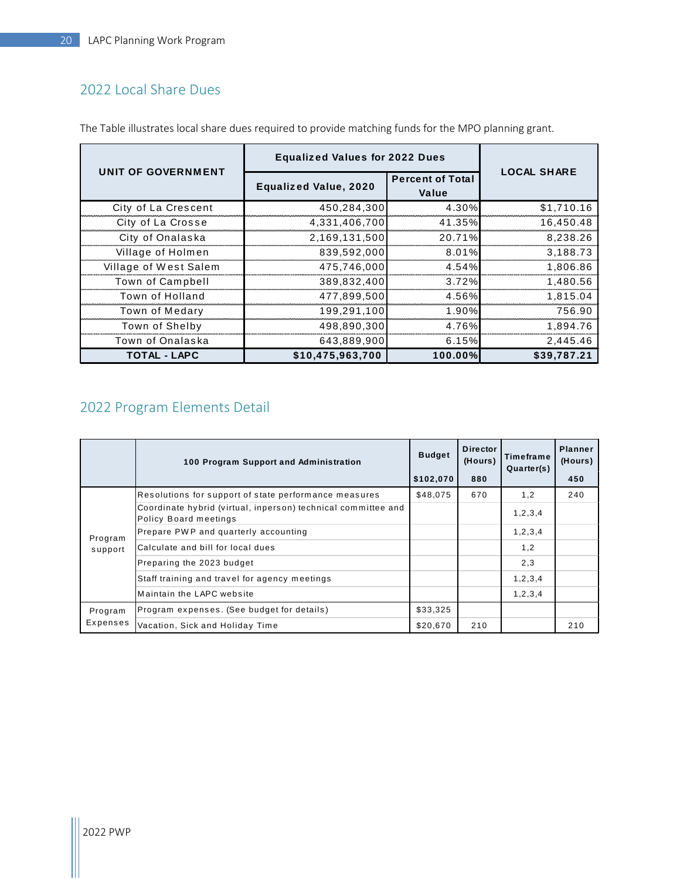#### 2022 Local Share Dues

| <b>UNIT OF GOVERNMENT</b> | <b>Equalized Values for 2022 Dues</b>                            |         | <b>LOCAL SHARE</b> |  |  |
|---------------------------|------------------------------------------------------------------|---------|--------------------|--|--|
|                           | <b>Percent of Total</b><br><b>Equalized Value, 2020</b><br>Value |         |                    |  |  |
| City of La Crescent       | 450,284,300                                                      | 4.30%   | \$1,710.16         |  |  |
| City of La Crosse         | 4,331,406,700                                                    | 41.35%  | 16,450.48          |  |  |
| City of Onalaska          | 2,169,131,500                                                    | 20.71%  | 8,238.26           |  |  |
| Village of Holmen         | 839,592,000                                                      | 8.01%   | 3,188.73           |  |  |
| Village of West Salem     | 475,746,000                                                      | 4.54%   | 1,806.86           |  |  |
| Town of Campbell          | 389,832,400                                                      | 3.72%   | 1,480.56           |  |  |
| Town of Holland           | 477.899.500                                                      | 4.56%   | 1.815.04           |  |  |
| Town of Medary            | 199,291,100                                                      | 1.90%   | 756.90             |  |  |
| Town of Shelby            | 498,890,300                                                      | 4.76%   | 1,894.76           |  |  |
| Town of Onalaska          | 643,889,900                                                      | 6.15%   | 2,445.46           |  |  |
| <b>TOTAL - LAPC</b>       | \$10,475,963,700                                                 | 100.00% | \$39,787.21        |  |  |

The Table illustrates local share dues required to provide matching funds for the MPO planning grant.

### 2022 Program Elements Detail

|                    | <b>Budget</b><br>100 Program Support and Administration                                       |           | <b>Director</b><br>(Hours) | Timeframe<br>Quarter(s) |     |
|--------------------|-----------------------------------------------------------------------------------------------|-----------|----------------------------|-------------------------|-----|
|                    |                                                                                               | \$102,070 | 880                        |                         | 450 |
|                    | Resolutions for support of state performance measures                                         | \$48,075  | 670                        | 1,2                     | 240 |
| Program<br>support | Coordinate hybrid (virtual, inperson) technical committee and<br><b>Policy Board meetings</b> |           |                            | 1, 2, 3, 4              |     |
|                    | Prepare PWP and quarterly accounting                                                          |           |                            | 1, 2, 3, 4              |     |
|                    | Calculate and bill for local dues                                                             |           |                            | 1,2                     |     |
|                    | Preparing the 2023 budget                                                                     |           |                            | 2,3                     |     |
|                    | Staff training and travel for agency meetings                                                 |           |                            | 1, 2, 3, 4              |     |
|                    | Maintain the LAPC website                                                                     |           |                            | 1, 2, 3, 4              |     |
| Program            | Program expenses. (See budget for details)                                                    | \$33,325  |                            |                         |     |
| Expenses           | Vacation, Sick and Holiday Time                                                               | \$20,670  | 210                        |                         | 210 |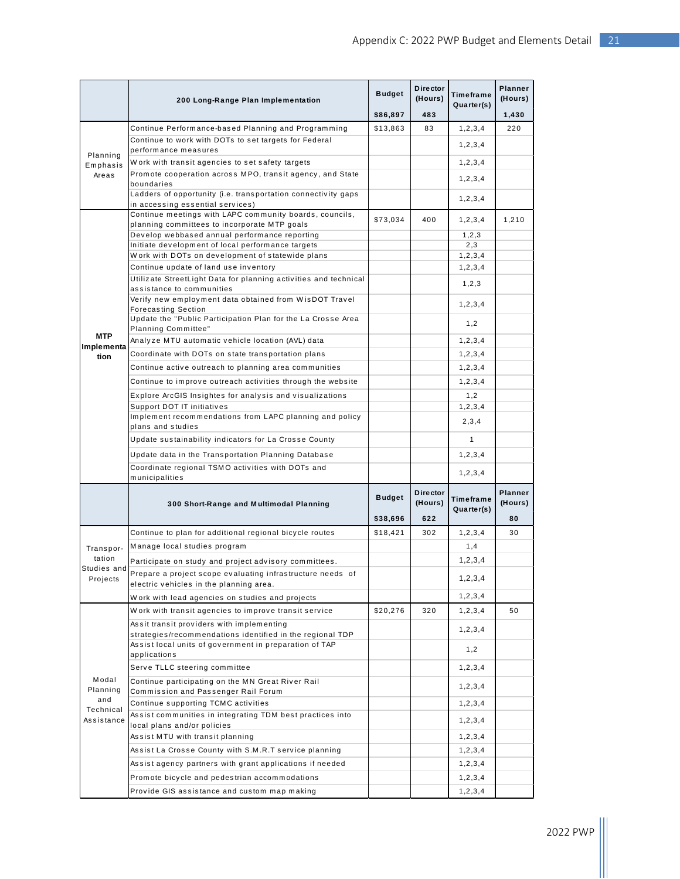|                   | 200 Long-Range Plan Implementation                                                                           | <b>Budget</b> | <b>Director</b><br>(Hours) | Timeframe<br>Quarter(s) | Planner<br>(Hours)        |
|-------------------|--------------------------------------------------------------------------------------------------------------|---------------|----------------------------|-------------------------|---------------------------|
|                   |                                                                                                              | \$86,897      | 483                        |                         | 1,430                     |
| Planning          | Continue Performance-based Planning and Programming<br>Continue to work with DOTs to set targets for Federal | \$13,863      | 83                         | 1, 2, 3, 4              | 220                       |
|                   | performance measures                                                                                         |               |                            | 1, 2, 3, 4              |                           |
| Emphasis          | Work with transit agencies to set safety targets                                                             |               |                            | 1, 2, 3, 4              |                           |
| Areas             | Promote cooperation across MPO, transit agency, and State                                                    |               |                            | 1, 2, 3, 4              |                           |
|                   | boundaries<br>Ladders of opportunity (i.e. transportation connectivity gaps                                  |               |                            |                         |                           |
|                   | in accessing essential services)                                                                             |               |                            | 1, 2, 3, 4              |                           |
|                   | Continue meetings with LAPC community boards, councils,                                                      | \$73,034      | 400                        | 1,2,3,4                 | 1,210                     |
|                   | planning committees to incorporate MTP goals<br>Develop webbased annual performance reporting                |               |                            | 1, 2, 3                 |                           |
|                   | Initiate development of local performance targets                                                            |               |                            | 2,3                     |                           |
|                   | Work with DOTs on development of statewide plans                                                             |               |                            | 1, 2, 3, 4              |                           |
|                   | Continue update of land use inventory                                                                        |               |                            | 1, 2, 3, 4              |                           |
|                   | Utilizate StreetLight Data for planning activities and technical                                             |               |                            | 1, 2, 3                 |                           |
|                   | assistance to communities<br>Verify new employment data obtained from WisDOT Travel                          |               |                            |                         |                           |
|                   | Forecasting Section                                                                                          |               |                            | 1, 2, 3, 4              |                           |
|                   | Update the "Public Participation Plan for the La Crosse Area                                                 |               |                            | 1,2                     |                           |
| <b>MTP</b>        | Planning Committee"                                                                                          |               |                            |                         |                           |
| Implementa        | Analyze MTU automatic vehicle location (AVL) data                                                            |               |                            | 1, 2, 3, 4              |                           |
| tion              | Coordinate with DOTs on state transportation plans                                                           |               |                            | 1, 2, 3, 4              |                           |
|                   | Continue active outreach to planning area communities                                                        |               |                            | 1, 2, 3, 4              |                           |
|                   | Continue to improve outreach activities through the website                                                  |               |                            | 1, 2, 3, 4              |                           |
|                   | Explore ArcGIS Insightes for analysis and visualizations                                                     |               |                            | 1,2                     |                           |
|                   | Support DOT IT initiatives<br>Implement recommendations from LAPC planning and policy                        |               |                            | 1,2,3,4                 |                           |
|                   | plans and studies                                                                                            |               |                            | 2,3,4                   |                           |
|                   | Update sustainability indicators for La Crosse County                                                        |               |                            | $\mathbf{1}$            |                           |
|                   | Update data in the Transportation Planning Database                                                          |               |                            | 1, 2, 3, 4              |                           |
|                   | Coordinate regional TSMO activities with DOTs and                                                            |               |                            |                         |                           |
|                   | municipalities                                                                                               |               |                            | 1,2,3,4                 |                           |
|                   | 300 Short-Range and Multimodal Planning                                                                      |               | <b>Director</b><br>(Hours) | Timeframe<br>Quarter(s) | <b>Planner</b><br>(Hours) |
|                   |                                                                                                              | \$38,696      | 622                        |                         | 80                        |
|                   | Continue to plan for additional regional bicycle routes                                                      | \$18,421      | 302                        | 1, 2, 3, 4              | 30                        |
| Transpor-         | Manage local studies program                                                                                 |               |                            | 1,4                     |                           |
| tation            | Participate on study and project advisory committees.                                                        |               |                            | 1, 2, 3, 4              |                           |
| Studies and       | Prepare a project scope evaluating infrastructure needs of                                                   |               |                            | 1, 2, 3, 4              |                           |
| Projects          | electric vehicles in the planning area.                                                                      |               |                            |                         |                           |
|                   | Work with lead agencies on studies and projects                                                              |               |                            | 1,2,3,4                 |                           |
|                   | Work with transit agencies to improve transit service                                                        | \$20,276      | 320                        | 1, 2, 3, 4              | 50                        |
|                   | Assit transit providers with implementing<br>strategies/recommendations identified in the regional TDP       |               |                            | 1, 2, 3, 4              |                           |
|                   | Assist local units of government in preparation of TAP<br>applications                                       |               |                            | 1,2                     |                           |
|                   | Serve TLLC steering committee                                                                                |               |                            | 1, 2, 3, 4              |                           |
| Modal<br>Planning | Continue participating on the MN Great River Rail<br>Commission and Passenger Rail Forum                     |               |                            | 1,2,3,4                 |                           |
| and<br>Technical  | Continue supporting TCMC activities                                                                          |               |                            | 1, 2, 3, 4              |                           |
| Assistance        | Assist communities in integrating TDM best practices into<br>local plans and/or policies                     |               |                            | 1, 2, 3, 4              |                           |
|                   | Assist MTU with transit planning                                                                             |               |                            | 1, 2, 3, 4              |                           |
|                   | Assist La Crosse County with S.M.R.T service planning                                                        |               |                            | 1, 2, 3, 4              |                           |
|                   | Assist agency partners with grant applications if needed                                                     |               |                            | 1,2,3,4                 |                           |
|                   | Promote bicycle and pedestrian accommodations                                                                |               |                            | 1, 2, 3, 4              |                           |
|                   | Provide GIS assistance and custom map making                                                                 |               |                            | 1, 2, 3, 4              |                           |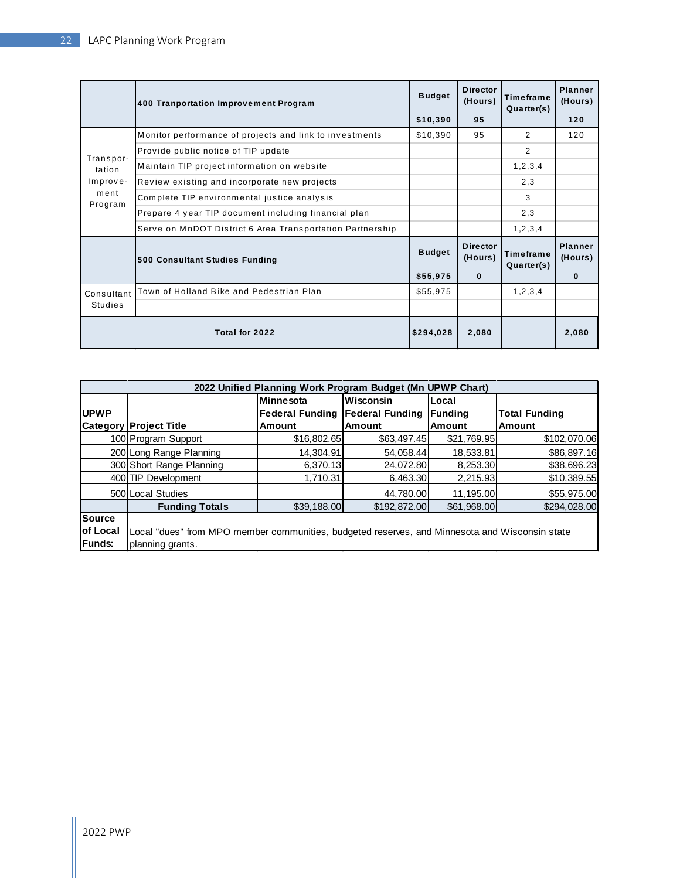|                 | 400 Tranportation Improvement Program                     |               | Director<br>(Hours)        | Timeframe<br>Quarter(s) | <b>Planner</b><br>(Hours) |
|-----------------|-----------------------------------------------------------|---------------|----------------------------|-------------------------|---------------------------|
|                 |                                                           | \$10,390      | 95                         |                         | 120                       |
|                 | Monitor performance of projects and link to investments   | \$10,390      | 95                         | 2                       | 120                       |
| Transpor-       | Provide public notice of TIP update                       |               |                            | $\overline{2}$          |                           |
| tation          | Maintain TIP project information on website               |               |                            | 1, 2, 3, 4              |                           |
| Improve-        | Review existing and incorporate new projects              |               |                            | 2,3                     |                           |
| ment<br>Program | Complete TIP environmental justice analysis               |               |                            | 3                       |                           |
|                 | Prepare 4 year TIP document including financial plan      |               |                            | 2,3                     |                           |
|                 | Serve on MnDOT District 6 Area Transportation Partnership |               |                            | 1, 2, 3, 4              |                           |
|                 | 500 Consultant Studies Funding                            | <b>Budget</b> | <b>Director</b><br>(Hours) | Timeframe<br>Quarter(s) | <b>Planner</b><br>(Hours) |
|                 |                                                           |               | $\bf{0}$                   |                         | $\mathbf 0$               |
| Consultant      | Town of Holland Bike and Pedestrian Plan                  | \$55,975      |                            | 1, 2, 3, 4              |                           |
| <b>Studies</b>  |                                                           |               |                            |                         |                           |
|                 | Total for 2022                                            | \$294,028     | 2,080                      |                         | 2,080                     |

| 2022 Unified Planning Work Program Budget (Mn UPWP Chart) |                                                                                                |                                          |               |               |                      |  |  |
|-----------------------------------------------------------|------------------------------------------------------------------------------------------------|------------------------------------------|---------------|---------------|----------------------|--|--|
|                                                           |                                                                                                | Minnesota                                | Wisconsin     | Local         |                      |  |  |
| <b>UPWP</b>                                               |                                                                                                | <b>Federal Funding   Federal Funding</b> |               | Funding       | <b>Total Funding</b> |  |  |
|                                                           | <b>Category Project Title</b>                                                                  | <b>Amount</b>                            | <b>Amount</b> | <b>Amount</b> | <b>Amount</b>        |  |  |
|                                                           | 100 Program Support                                                                            | \$16,802.65                              | \$63,497.45   | \$21,769.95   | \$102,070.06         |  |  |
|                                                           | 200 Long Range Planning                                                                        | 14,304.91                                | 54.058.44     | 18,533.81     | \$86,897.16          |  |  |
|                                                           | 300 Short Range Planning                                                                       | 6,370.13                                 | 24,072.80     | 8,253.30      | \$38,696.23          |  |  |
|                                                           | 400 TIP Development                                                                            | 1.710.31                                 | 6.463.30      | 2,215.93      | \$10,389.55          |  |  |
|                                                           | 500 Local Studies                                                                              |                                          | 44.780.00     | 11,195.00     | \$55,975.00          |  |  |
|                                                           | <b>Funding Totals</b>                                                                          | \$39,188.00                              | \$192,872.00  | \$61,968.00   | \$294,028.00         |  |  |
| Source                                                    |                                                                                                |                                          |               |               |                      |  |  |
| of Local                                                  | Local "dues" from MPO member communities, budgeted reserves, and Minnesota and Wisconsin state |                                          |               |               |                      |  |  |
| <b>Funds:</b>                                             | planning grants.                                                                               |                                          |               |               |                      |  |  |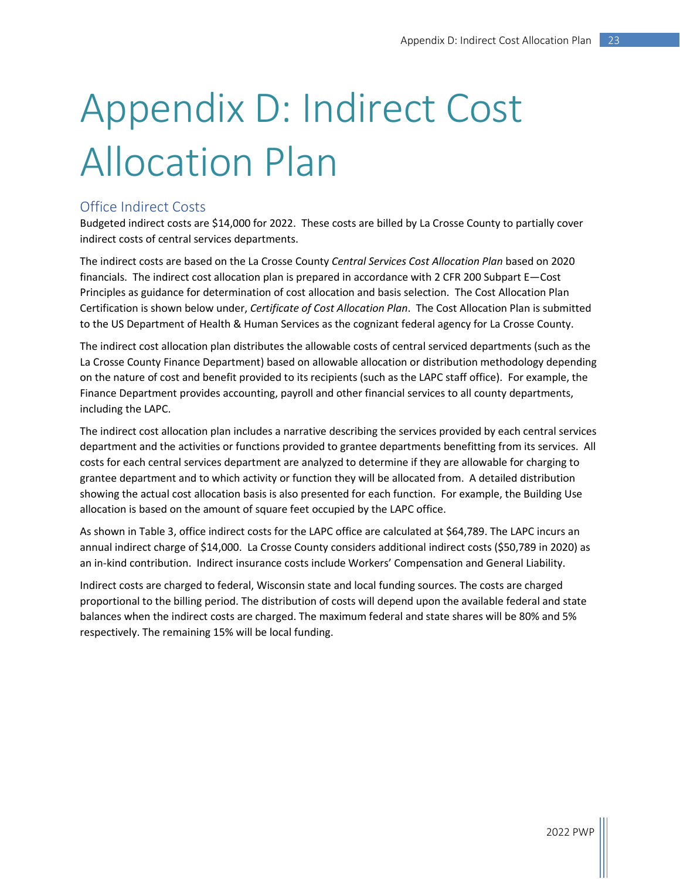## <span id="page-28-0"></span>Appendix D: Indirect Cost Allocation Plan

#### Office Indirect Costs

Budgeted indirect costs are \$14,000 for 2022. These costs are billed by La Crosse County to partially cover indirect costs of central services departments.

The indirect costs are based on the La Crosse County *Central Services Cost Allocation Plan* based on 2020 financials. The indirect cost allocation plan is prepared in accordance with 2 CFR 200 Subpart E—Cost Principles as guidance for determination of cost allocation and basis selection. The Cost Allocation Plan Certification is shown below under, *Certificate of Cost Allocation Plan*. The Cost Allocation Plan is submitted to the US Department of Health & Human Services as the cognizant federal agency for La Crosse County.

The indirect cost allocation plan distributes the allowable costs of central serviced departments (such as the La Crosse County Finance Department) based on allowable allocation or distribution methodology depending on the nature of cost and benefit provided to its recipients (such as the LAPC staff office). For example, the Finance Department provides accounting, payroll and other financial services to all county departments, including the LAPC.

The indirect cost allocation plan includes a narrative describing the services provided by each central services department and the activities or functions provided to grantee departments benefitting from its services. All costs for each central services department are analyzed to determine if they are allowable for charging to grantee department and to which activity or function they will be allocated from. A detailed distribution showing the actual cost allocation basis is also presented for each function. For example, the Building Use allocation is based on the amount of square feet occupied by the LAPC office.

As shown in Table 3, office indirect costs for the LAPC office are calculated at \$64,789. The LAPC incurs an annual indirect charge of \$14,000. La Crosse County considers additional indirect costs (\$50,789 in 2020) as an in-kind contribution. Indirect insurance costs include Workers' Compensation and General Liability.

Indirect costs are charged to federal, Wisconsin state and local funding sources. The costs are charged proportional to the billing period. The distribution of costs will depend upon the available federal and state balances when the indirect costs are charged. The maximum federal and state shares will be 80% and 5% respectively. The remaining 15% will be local funding.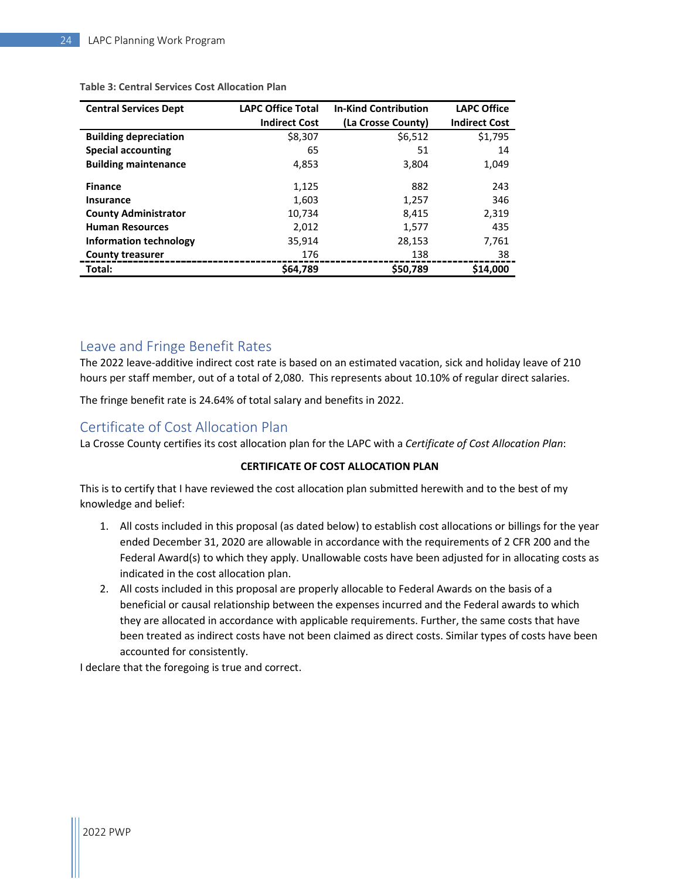| <b>Central Services Dept</b> | <b>LAPC Office Total</b> | <b>In-Kind Contribution</b> | <b>LAPC Office</b>   |
|------------------------------|--------------------------|-----------------------------|----------------------|
|                              | <b>Indirect Cost</b>     | (La Crosse County)          | <b>Indirect Cost</b> |
| <b>Building depreciation</b> | \$8,307                  | \$6,512                     | \$1,795              |
| <b>Special accounting</b>    | 65                       | 51                          | 14                   |
| <b>Building maintenance</b>  | 4,853                    | 3,804                       | 1,049                |
| <b>Finance</b>               | 1,125                    | 882                         | 243                  |
| <b>Insurance</b>             | 1,603                    | 1,257                       | 346                  |
| <b>County Administrator</b>  | 10,734                   | 8,415                       | 2,319                |
| <b>Human Resources</b>       | 2.012                    | 1,577                       | 435                  |
| Information technology       | 35,914                   | 28,153                      | 7,761                |
| <b>County treasurer</b>      | 176                      | 138                         | 38                   |
| Total:                       | \$64.789                 | \$50.789                    | \$14,000             |

**Table 3: Central Services Cost Allocation Plan**

#### Leave and Fringe Benefit Rates

The 2022 leave-additive indirect cost rate is based on an estimated vacation, sick and holiday leave of 210 hours per staff member, out of a total of 2,080. This represents about 10.10% of regular direct salaries.

The fringe benefit rate is 24.64% of total salary and benefits in 2022.

#### Certificate of Cost Allocation Plan

La Crosse County certifies its cost allocation plan for the LAPC with a *Certificate of Cost Allocation Plan*:

#### **CERTIFICATE OF COST ALLOCATION PLAN**

This is to certify that I have reviewed the cost allocation plan submitted herewith and to the best of my knowledge and belief:

- 1. All costs included in this proposal (as dated below) to establish cost allocations or billings for the year ended December 31, 2020 are allowable in accordance with the requirements of 2 CFR 200 and the Federal Award(s) to which they apply. Unallowable costs have been adjusted for in allocating costs as indicated in the cost allocation plan.
- 2. All costs included in this proposal are properly allocable to Federal Awards on the basis of a beneficial or causal relationship between the expenses incurred and the Federal awards to which they are allocated in accordance with applicable requirements. Further, the same costs that have been treated as indirect costs have not been claimed as direct costs. Similar types of costs have been accounted for consistently.

I declare that the foregoing is true and correct.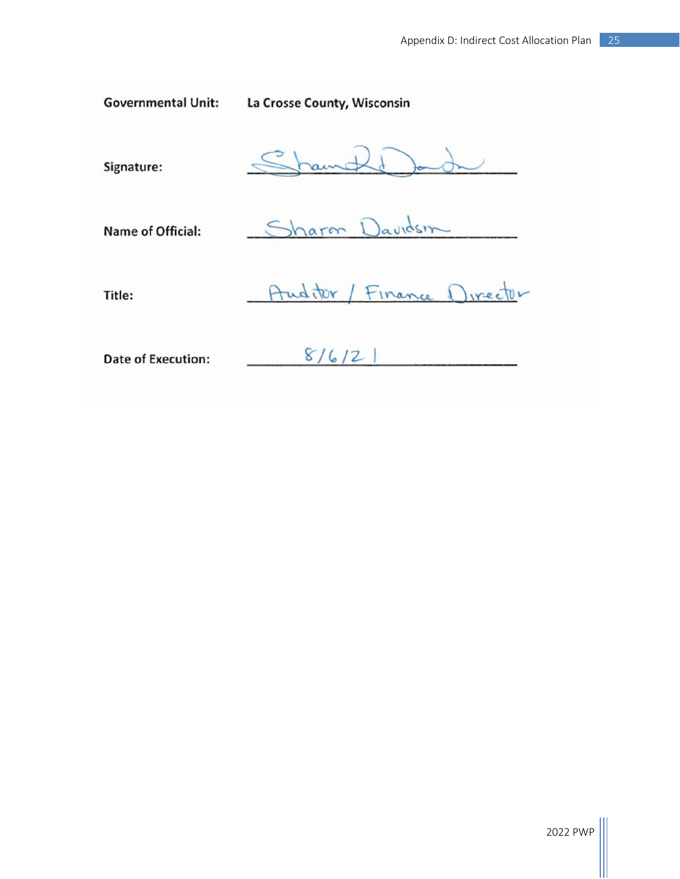| <b>Governmental Unit:</b> | La Crosse County, Wisconsin |
|---------------------------|-----------------------------|
| Signature:                |                             |
| Name of Official:         | Sharm Davidsm               |
| Title:                    | Auditor / Finance Director  |
| <b>Date of Execution:</b> | 8/6/2                       |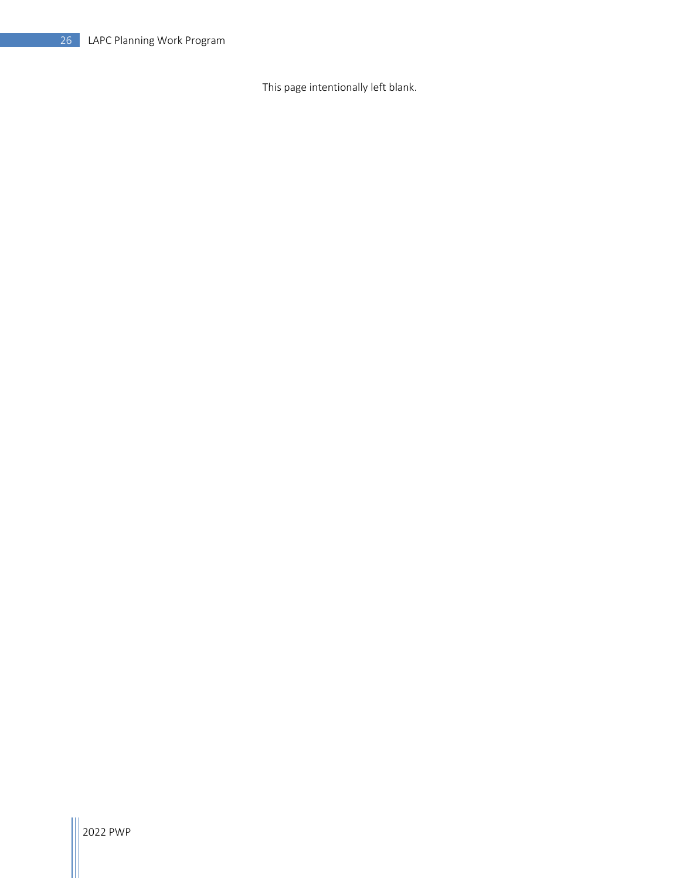This page intentionally left blank.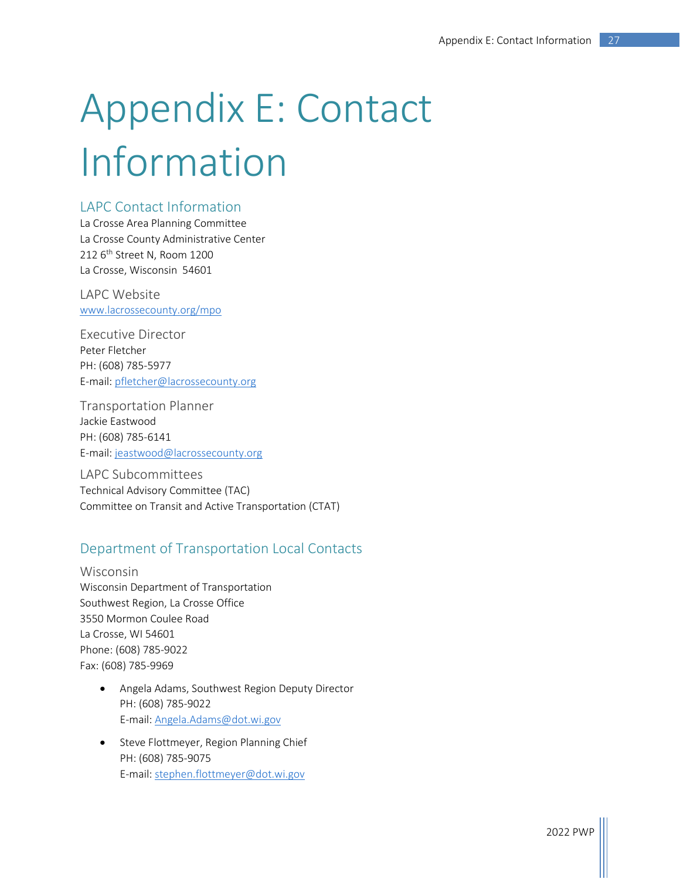# <span id="page-32-0"></span>Appendix E: Contact Information

#### LAPC Contact Information

La Crosse Area Planning Committee La Crosse County Administrative Center 212 6<sup>th</sup> Street N, Room 1200 La Crosse, Wisconsin 54601

LAPC Website [www.lacrossecounty.org/mpo](http://www.lacrossecounty.org/mpo)

Executive Director Peter Fletcher PH: (608) 785-5977 E-mail[: pfletcher@lacrossecounty.org](mailto:pfletcher@lacrossecounty.org)

Transportation Planner Jackie Eastwood PH: (608) 785-6141 E-mail[: jeastwood@lacrossecounty.org](mailto:jeastwood@lacrossecounty.org)

LAPC Subcommittees Technical Advisory Committee (TAC) Committee on Transit and Active Transportation (CTAT)

#### Department of Transportation Local Contacts

Wisconsin Wisconsin Department of Transportation Southwest Region, La Crosse Office 3550 Mormon Coulee Road La Crosse, WI 54601 Phone: (608) 785-9022 Fax: (608) 785-9969

- Angela Adams, Southwest Region Deputy Director PH: (608) 785-9022 E-mail[: Angela.Adams@dot.wi.gov](mailto:Angela.Adams@dot.wi.gov)
- Steve Flottmeyer, Region Planning Chief PH: (608) 785-9075 E-mail[: stephen.flottmeyer@dot.wi.gov](mailto:stephen.flottmeyer@dot.wi.gov)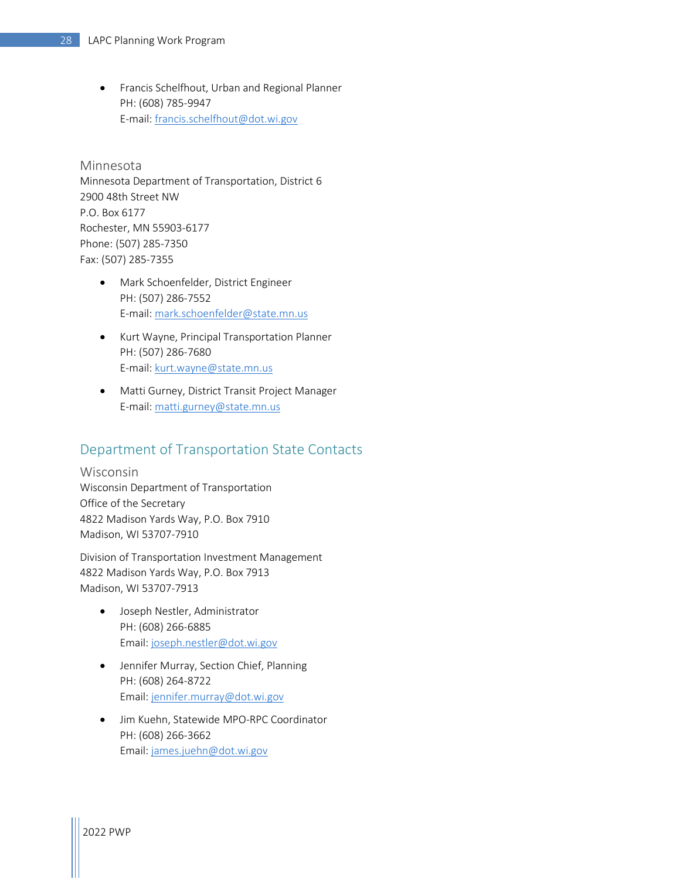• Francis Schelfhout, Urban and Regional Planner PH: (608) 785-9947 E-mail[: francis.schelfhout@dot.wi.gov](mailto:francis.schelfhout@dot.wi.gov)

Minnesota Minnesota Department of Transportation, District 6 2900 48th Street NW P.O. Box 6177 Rochester, MN 55903-6177 Phone: (507) 285-7350 Fax: (507) 285-7355

- Mark Schoenfelder, District Engineer PH: (507) 286-7552 E-mail[: mark.schoenfelder@state.mn.us](mailto:mark.schoenfelder@state.mn.us)
- Kurt Wayne, Principal Transportation Planner PH: (507) 286-7680 E-mail[: kurt.wayne@state.mn.us](mailto:kurt.wayne@state.mn.us)
- Matti Gurney, District Transit Project Manager E-mail[: matti.gurney@state.mn.us](mailto:matti.gurney@state.mn.us)

#### Department of Transportation State Contacts

Wisconsin Wisconsin Department of Transportation Office of the Secretary 4822 Madison Yards Way, P.O. Box 7910 Madison, WI 53707-7910

Division of Transportation Investment Management 4822 Madison Yards Way, P.O. Box 7913 Madison, WI 53707-7913

- Joseph Nestler, Administrator PH: (608) 266-6885 Email: [joseph.nestler@dot.wi.gov](mailto:joseph.nestler@dot.wi.gov)
- Jennifer Murray, Section Chief, Planning PH: (608) 264-8722 Email: [jennifer.murray@dot.wi.gov](mailto:jennifer.murray@dot.wi.gov)
- Jim Kuehn, Statewide MPO-RPC Coordinator PH: (608) 266-3662 Email: [james.juehn@dot.wi.gov](mailto:james.juehn@dot.wi.gov)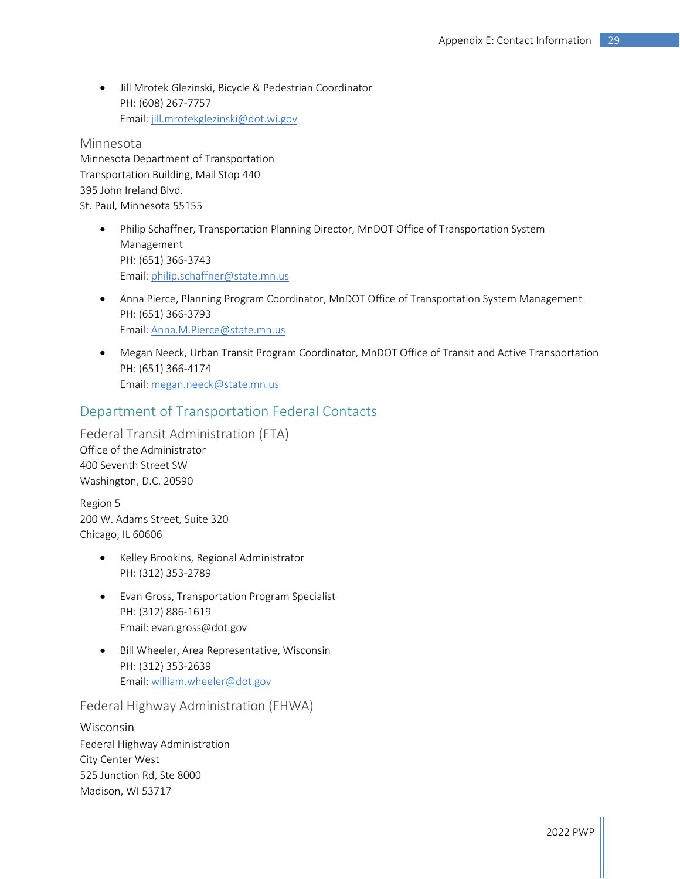• Jill Mrotek Glezinski, Bicycle & Pedestrian Coordinator PH: (608) 267-7757 Email: [jill.mrotekglezinski@dot.wi.gov](mailto:jill.mrotekglezinski@dot.wi.gov)

Minnesota Minnesota Department of Transportation Transportation Building, Mail Stop 440 395 John Ireland Blvd. St. Paul, Minnesota 55155

- Philip Schaffner, Transportation Planning Director, MnDOT Office of Transportation System Management PH: (651) 366-3743 Email: [philip.schaffner@state.mn.us](mailto:philip.schaffner@state.mn.us)
- Anna Pierce, Planning Program Coordinator, MnDOT Office of Transportation System Management PH: (651) 366-3793 Email: [Anna.M.Pierce@state.mn.us](mailto:Anna.M.Pierce@state.mn.us)
- Megan Neeck, Urban Transit Program Coordinator, MnDOT Office of Transit and Active Transportation PH: (651) 366-4174 Email: [megan.neeck@state.mn.us](mailto:megan.neeck@state.mn.us)

#### Department of Transportation Federal Contacts

Federal Transit Administration (FTA) Office of the Administrator 400 Seventh Street SW Washington, D.C. 20590

Region 5 200 W. Adams Street, Suite 320 Chicago, IL 60606

- Kelley Brookins, Regional Administrator PH: (312) 353-2789
- Evan Gross, Transportation Program Specialist PH: (312) 886-1619 Email: evan.gross@dot.gov
- Bill Wheeler, Area Representative, Wisconsin PH: (312) 353-2639 Email: [william.wheeler@dot.gov](mailto:william.wheeler@dot.gov)

Federal Highway Administration (FHWA)

Wisconsin Federal Highway Administration City Center West 525 Junction Rd, Ste 8000 Madison, WI 53717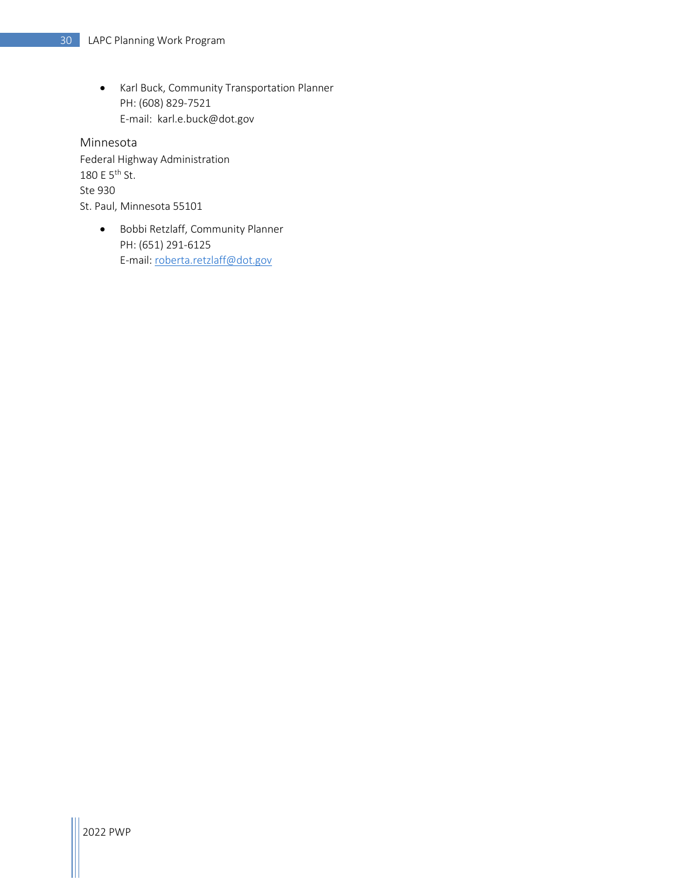• Karl Buck, Community Transportation Planner PH: (608) 829-7521 E-mail: karl.e.buck@dot.gov

#### Minnesota

Federal Highway Administration 180 E  $5^{\text{th}}$  St. Ste 930 St. Paul, Minnesota 55101

> • Bobbi Retzlaff, Community Planner PH: (651) 291-6125 E-mail[: roberta.retzlaff@dot.gov](mailto:roberta.retzlaff@dot.gov)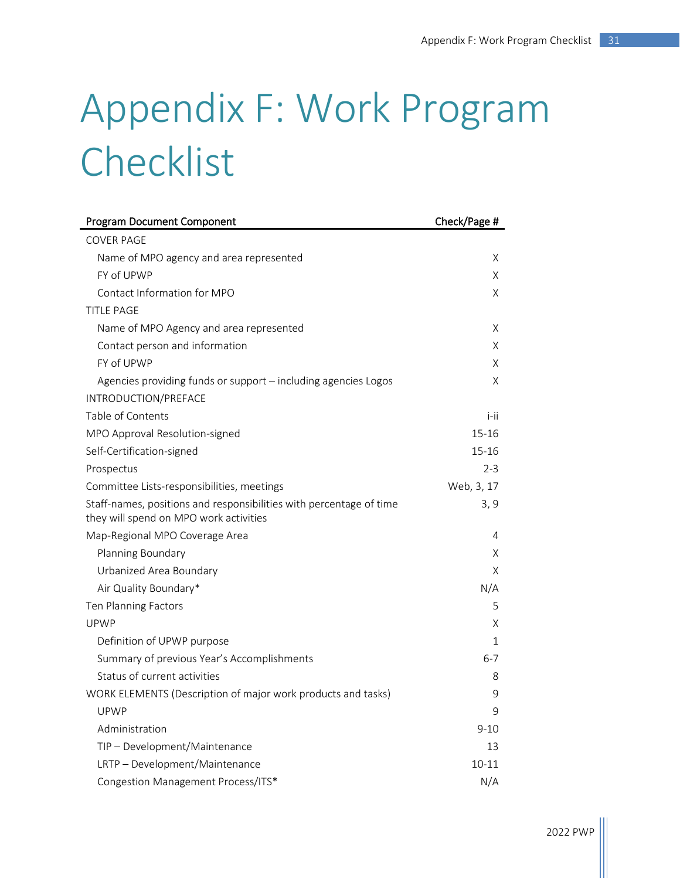## <span id="page-36-0"></span>Appendix F: Work Program Checklist

| <b>Program Document Component</b>                                                                             | Check/Page # |
|---------------------------------------------------------------------------------------------------------------|--------------|
| <b>COVER PAGE</b>                                                                                             |              |
| Name of MPO agency and area represented                                                                       | X            |
| FY of UPWP                                                                                                    | X            |
| Contact Information for MPO                                                                                   | X            |
| <b>TITLE PAGE</b>                                                                                             |              |
| Name of MPO Agency and area represented                                                                       | X            |
| Contact person and information                                                                                | X            |
| FY of UPWP                                                                                                    | X.           |
| Agencies providing funds or support - including agencies Logos                                                | X            |
| INTRODUCTION/PREFACE                                                                                          |              |
| Table of Contents                                                                                             | i-ii         |
| MPO Approval Resolution-signed                                                                                | 15-16        |
| Self-Certification-signed                                                                                     | 15-16        |
| Prospectus                                                                                                    | $2 - 3$      |
| Committee Lists-responsibilities, meetings                                                                    | Web, 3, 17   |
| Staff-names, positions and responsibilities with percentage of time<br>they will spend on MPO work activities | 3, 9         |
| Map-Regional MPO Coverage Area                                                                                | 4            |
| Planning Boundary                                                                                             | X            |
| Urbanized Area Boundary                                                                                       | X            |
| Air Quality Boundary*                                                                                         | N/A          |
| Ten Planning Factors                                                                                          | 5            |
| <b>UPWP</b>                                                                                                   | X            |
| Definition of UPWP purpose                                                                                    | 1            |
| Summary of previous Year's Accomplishments                                                                    | $6 - 7$      |
| Status of current activities                                                                                  | 8            |
| WORK ELEMENTS (Description of major work products and tasks)                                                  | 9            |
| UPWP                                                                                                          | 9            |
| Administration                                                                                                | $9 - 10$     |
| TIP - Development/Maintenance                                                                                 | 13           |
| LRTP - Development/Maintenance                                                                                | $10 - 11$    |
| Congestion Management Process/ITS*                                                                            | N/A          |